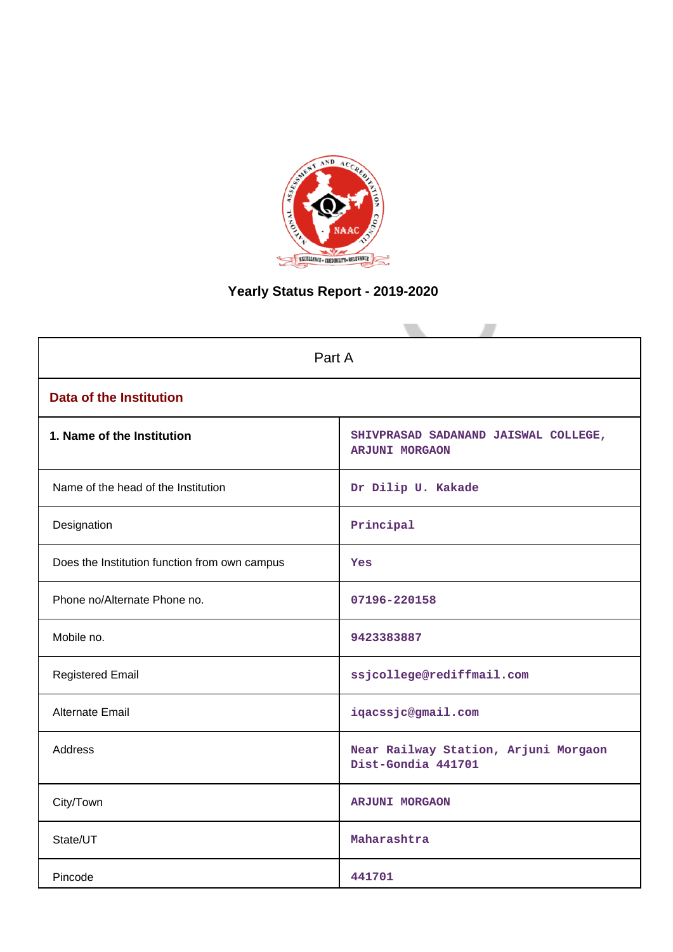

# **Yearly Status Report - 2019-2020**

| Part A                                        |                                                               |  |  |
|-----------------------------------------------|---------------------------------------------------------------|--|--|
| <b>Data of the Institution</b>                |                                                               |  |  |
| 1. Name of the Institution                    | SHIVPRASAD SADANAND JAISWAL COLLEGE,<br><b>ARJUNI MORGAON</b> |  |  |
| Name of the head of the Institution           | Dr Dilip U. Kakade                                            |  |  |
| Designation                                   | Principal                                                     |  |  |
| Does the Institution function from own campus | <b>Yes</b>                                                    |  |  |
| Phone no/Alternate Phone no.                  | 07196-220158                                                  |  |  |
| Mobile no.                                    | 9423383887                                                    |  |  |
| <b>Registered Email</b>                       | ssjcollege@rediffmail.com                                     |  |  |
| Alternate Email                               | iqacssjc@gmail.com                                            |  |  |
| <b>Address</b>                                | Near Railway Station, Arjuni Morgaon<br>Dist-Gondia 441701    |  |  |
| City/Town                                     | <b>ARJUNI MORGAON</b>                                         |  |  |
| State/UT                                      | Maharashtra                                                   |  |  |
| Pincode                                       | 441701                                                        |  |  |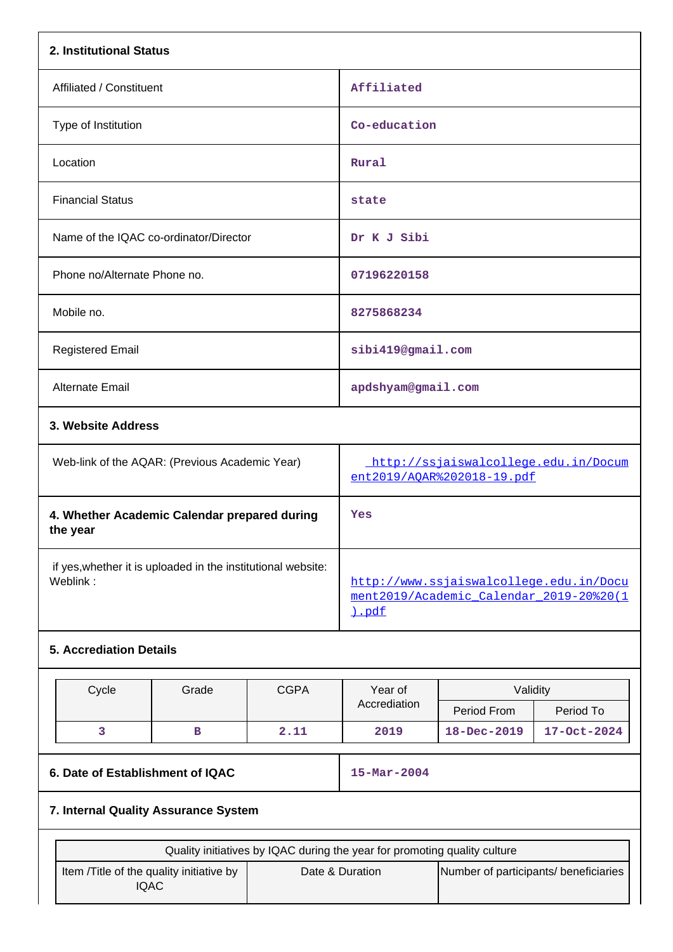|                                                                                                                                                         | 2. Institutional Status                        |             |                                                                                             |                                                                    |             |  |
|---------------------------------------------------------------------------------------------------------------------------------------------------------|------------------------------------------------|-------------|---------------------------------------------------------------------------------------------|--------------------------------------------------------------------|-------------|--|
| Affiliated / Constituent                                                                                                                                |                                                |             | Affiliated                                                                                  |                                                                    |             |  |
| Type of Institution                                                                                                                                     |                                                |             | Co-education                                                                                |                                                                    |             |  |
| Location                                                                                                                                                |                                                |             | Rural                                                                                       |                                                                    |             |  |
| <b>Financial Status</b>                                                                                                                                 |                                                |             | state                                                                                       |                                                                    |             |  |
| Name of the IQAC co-ordinator/Director                                                                                                                  |                                                |             | Dr K J Sibi                                                                                 |                                                                    |             |  |
| Phone no/Alternate Phone no.                                                                                                                            |                                                |             | 07196220158                                                                                 |                                                                    |             |  |
| Mobile no.                                                                                                                                              |                                                |             | 8275868234                                                                                  |                                                                    |             |  |
| <b>Registered Email</b>                                                                                                                                 |                                                |             | sibi419@gmail.com                                                                           |                                                                    |             |  |
| Alternate Email                                                                                                                                         |                                                |             | apdshyam@gmail.com                                                                          |                                                                    |             |  |
| 3. Website Address                                                                                                                                      |                                                |             |                                                                                             |                                                                    |             |  |
|                                                                                                                                                         | Web-link of the AQAR: (Previous Academic Year) |             |                                                                                             | http://ssjaiswalcollege.edu.in/Docum<br>ent2019/AOAR%202018-19.pdf |             |  |
| 4. Whether Academic Calendar prepared during<br>the year                                                                                                |                                                |             | Yes                                                                                         |                                                                    |             |  |
| if yes, whether it is uploaded in the institutional website:<br>Weblink:                                                                                |                                                |             | http://www.ssjaiswalcollege.edu.in/Docu<br>ment2019/Academic Calendar 2019-20%20(1<br>).pdf |                                                                    |             |  |
| <b>5. Accrediation Details</b>                                                                                                                          |                                                |             |                                                                                             |                                                                    |             |  |
| Cycle                                                                                                                                                   | Grade                                          | <b>CGPA</b> | Year of                                                                                     | Validity                                                           |             |  |
|                                                                                                                                                         |                                                |             | Accrediation                                                                                | Period From                                                        | Period To   |  |
| 3                                                                                                                                                       | 2.11<br>в                                      |             |                                                                                             | 18-Dec-2019                                                        | 17-Oct-2024 |  |
| 6. Date of Establishment of IQAC                                                                                                                        |                                                |             | $15 - \text{Mar} - 2004$                                                                    |                                                                    |             |  |
| 7. Internal Quality Assurance System                                                                                                                    |                                                |             |                                                                                             |                                                                    |             |  |
|                                                                                                                                                         |                                                |             |                                                                                             |                                                                    |             |  |
| Quality initiatives by IQAC during the year for promoting quality culture<br>Item /Title of the quality initiative by<br>Date & Duration<br><b>IQAC</b> |                                                |             |                                                                                             | Number of participants/ beneficiaries                              |             |  |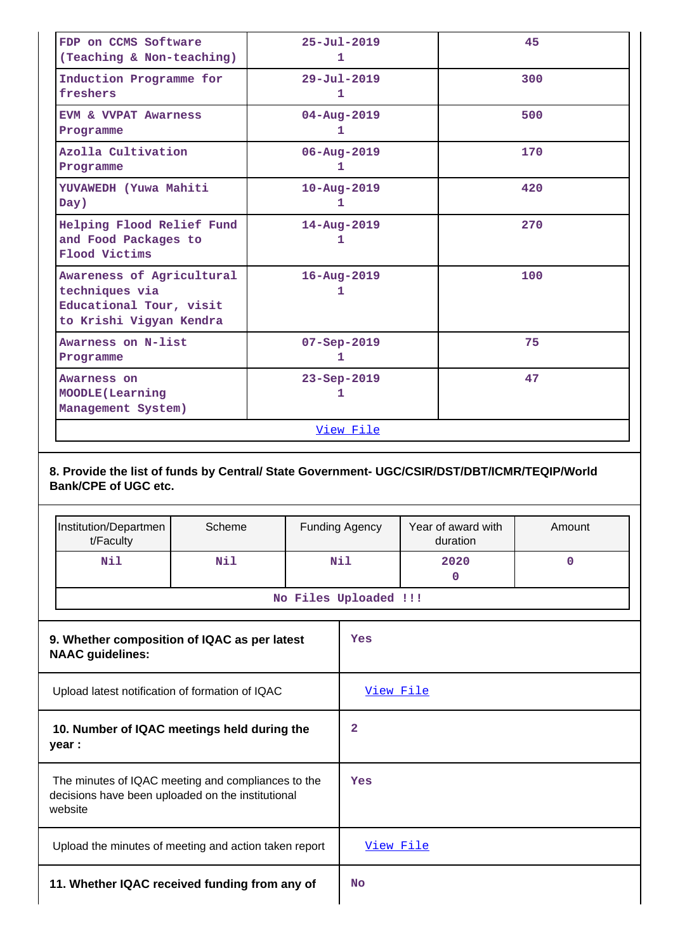| FDP on CCMS Software<br>(Teaching & Non-teaching)                                                 | $25 - Ju1 - 2019$<br>1        | 45  |
|---------------------------------------------------------------------------------------------------|-------------------------------|-----|
| Induction Programme for<br>freshers                                                               | $29 - \text{Jul} - 2019$<br>1 | 300 |
| <b>EVM &amp; VVPAT Awarness</b><br>Programme                                                      | $04 - Aug - 2019$<br>1        | 500 |
| Azolla Cultivation<br>Programme                                                                   | 06-Aug-2019<br>1              | 170 |
| YUVAWEDH (Yuwa Mahiti<br>Day)                                                                     | $10 - Aug - 2019$<br>1        | 420 |
| Helping Flood Relief Fund<br>and Food Packages to<br>Flood Victims                                | 14-Aug-2019<br>1              | 270 |
| Awareness of Agricultural<br>techniques via<br>Educational Tour, visit<br>to Krishi Vigyan Kendra | $16 - Aug - 2019$<br>1        | 100 |
| Awarness on N-list<br>Programme                                                                   | $07 - Sep - 2019$<br>1        | 75  |
| Awarness on<br>MOODLE (Learning<br>Management System)                                             | 23-Sep-2019<br>1.             | 47  |
|                                                                                                   | View File                     |     |

## **8. Provide the list of funds by Central/ State Government- UGC/CSIR/DST/DBT/ICMR/TEQIP/World Bank/CPE of UGC etc.**

|                                                                                                                    | Institution/Departmen                                 | Scheme |                       | <b>Funding Agency</b> | Year of award with | Amount |  |
|--------------------------------------------------------------------------------------------------------------------|-------------------------------------------------------|--------|-----------------------|-----------------------|--------------------|--------|--|
|                                                                                                                    | t/Faculty                                             |        |                       |                       | duration           |        |  |
|                                                                                                                    | Nil                                                   | Nil    |                       | Nil                   | 2020<br>0          | 0      |  |
|                                                                                                                    |                                                       |        | No Files Uploaded !!! |                       |                    |        |  |
| 9. Whether composition of IQAC as per latest<br><b>NAAC</b> guidelines:                                            |                                                       |        |                       | Yes                   |                    |        |  |
| Upload latest notification of formation of IQAC                                                                    |                                                       |        | View File             |                       |                    |        |  |
| 10. Number of IQAC meetings held during the<br>year :                                                              |                                                       |        | $\mathbf{z}$          |                       |                    |        |  |
| The minutes of IQAC meeting and compliances to the<br>decisions have been uploaded on the institutional<br>website |                                                       |        | Yes                   |                       |                    |        |  |
|                                                                                                                    | Upload the minutes of meeting and action taken report |        |                       | View File             |                    |        |  |
|                                                                                                                    | 11. Whether IQAC received funding from any of         |        |                       |                       |                    |        |  |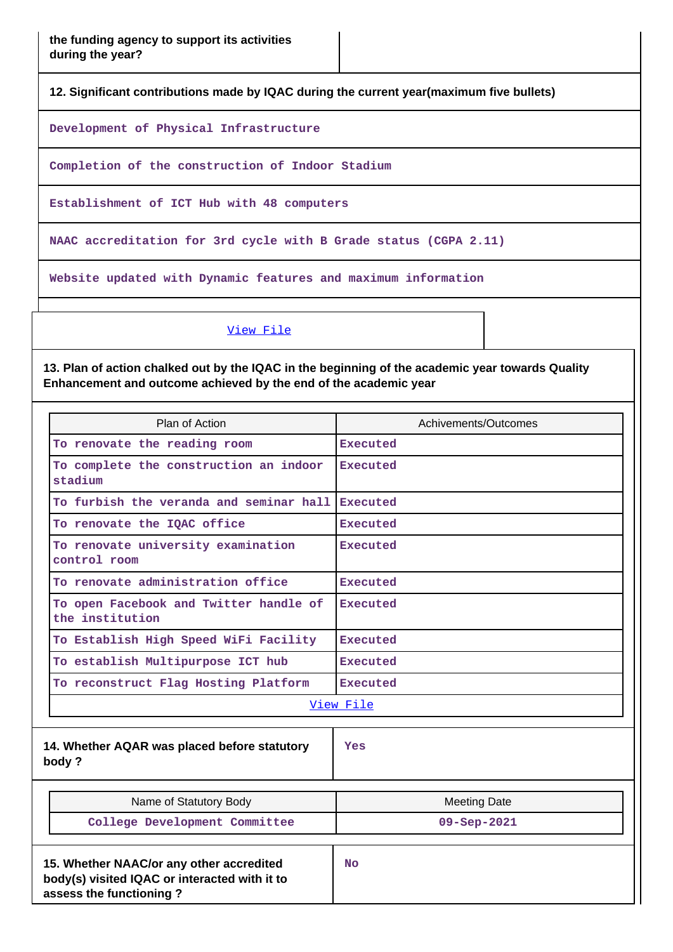**12. Significant contributions made by IQAC during the current year(maximum five bullets)**

**Development of Physical Infrastructure**

**Completion of the construction of Indoor Stadium**

**Establishment of ICT Hub with 48 computers**

**NAAC accreditation for 3rd cycle with B Grade status (CGPA 2.11)**

**Website updated with Dynamic features and maximum information**

[View File](https://assessmentonline.naac.gov.in/public/Postacc/Contribution/7102_Contribution.xlsx)

**13. Plan of action chalked out by the IQAC in the beginning of the academic year towards Quality Enhancement and outcome achieved by the end of the academic year**

|                                                           | Plan of Action                                                                                                       | Achivements/Outcomes |
|-----------------------------------------------------------|----------------------------------------------------------------------------------------------------------------------|----------------------|
|                                                           | To renovate the reading room                                                                                         | Executed             |
|                                                           | To complete the construction an indoor<br>stadium                                                                    | Executed             |
|                                                           | To furbish the veranda and seminar hall                                                                              | Executed             |
|                                                           | To renovate the IQAC office                                                                                          | Executed             |
| To renovate university examination<br>control room        |                                                                                                                      | <b>Executed</b>      |
|                                                           | To renovate administration office                                                                                    | Executed             |
| To open Facebook and Twitter handle of<br>the institution |                                                                                                                      | Executed             |
|                                                           | To Establish High Speed WiFi Facility                                                                                | <b>Executed</b>      |
|                                                           | To establish Multipurpose ICT hub                                                                                    | Executed             |
|                                                           | To reconstruct Flag Hosting Platform                                                                                 | Executed             |
|                                                           |                                                                                                                      | View File            |
|                                                           | 14. Whether AQAR was placed before statutory<br>body?                                                                | Yes                  |
|                                                           | Name of Statutory Body                                                                                               | <b>Meeting Date</b>  |
|                                                           | College Development Committee                                                                                        | 09-Sep-2021          |
|                                                           | 15. Whether NAAC/or any other accredited<br>body(s) visited IQAC or interacted with it to<br>assess the functioning? | <b>No</b>            |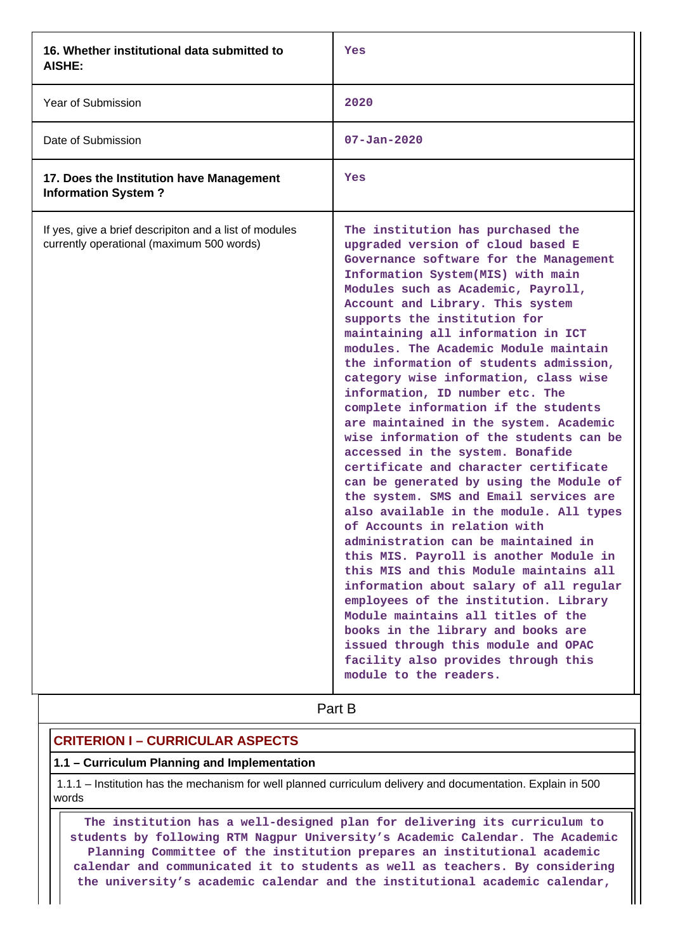| 16. Whether institutional data submitted to<br><b>AISHE:</b>                                        | Yes                                                                                                                                                                                                                                                                                                                                                                                                                                                                                                                                                                                                                                                                                                                                                                                                                                                                                                                                                                                                                                                                                                                                                                                                                                               |
|-----------------------------------------------------------------------------------------------------|---------------------------------------------------------------------------------------------------------------------------------------------------------------------------------------------------------------------------------------------------------------------------------------------------------------------------------------------------------------------------------------------------------------------------------------------------------------------------------------------------------------------------------------------------------------------------------------------------------------------------------------------------------------------------------------------------------------------------------------------------------------------------------------------------------------------------------------------------------------------------------------------------------------------------------------------------------------------------------------------------------------------------------------------------------------------------------------------------------------------------------------------------------------------------------------------------------------------------------------------------|
| <b>Year of Submission</b>                                                                           | 2020                                                                                                                                                                                                                                                                                                                                                                                                                                                                                                                                                                                                                                                                                                                                                                                                                                                                                                                                                                                                                                                                                                                                                                                                                                              |
| Date of Submission                                                                                  | $07 - Jan - 2020$                                                                                                                                                                                                                                                                                                                                                                                                                                                                                                                                                                                                                                                                                                                                                                                                                                                                                                                                                                                                                                                                                                                                                                                                                                 |
| 17. Does the Institution have Management<br><b>Information System?</b>                              | Yes                                                                                                                                                                                                                                                                                                                                                                                                                                                                                                                                                                                                                                                                                                                                                                                                                                                                                                                                                                                                                                                                                                                                                                                                                                               |
| If yes, give a brief descripiton and a list of modules<br>currently operational (maximum 500 words) | The institution has purchased the<br>upgraded version of cloud based E<br>Governance software for the Management<br>Information System(MIS) with main<br>Modules such as Academic, Payroll,<br>Account and Library. This system<br>supports the institution for<br>maintaining all information in ICT<br>modules. The Academic Module maintain<br>the information of students admission,<br>category wise information, class wise<br>information, ID number etc. The<br>complete information if the students<br>are maintained in the system. Academic<br>wise information of the students can be<br>accessed in the system. Bonafide<br>certificate and character certificate<br>can be generated by using the Module of<br>the system. SMS and Email services are<br>also available in the module. All types<br>of Accounts in relation with<br>administration can be maintained in<br>this MIS. Payroll is another Module in<br>this MIS and this Module maintains all<br>information about salary of all regular<br>employees of the institution. Library<br>Module maintains all titles of the<br>books in the library and books are<br>issued through this module and OPAC<br>facility also provides through this<br>module to the readers. |

**Part B** 

# **CRITERION I – CURRICULAR ASPECTS**

## **1.1 – Curriculum Planning and Implementation**

 1.1.1 – Institution has the mechanism for well planned curriculum delivery and documentation. Explain in 500 words

 **The institution has a well-designed plan for delivering its curriculum to students by following RTM Nagpur University's Academic Calendar. The Academic Planning Committee of the institution prepares an institutional academic calendar and communicated it to students as well as teachers. By considering the university's academic calendar and the institutional academic calendar,**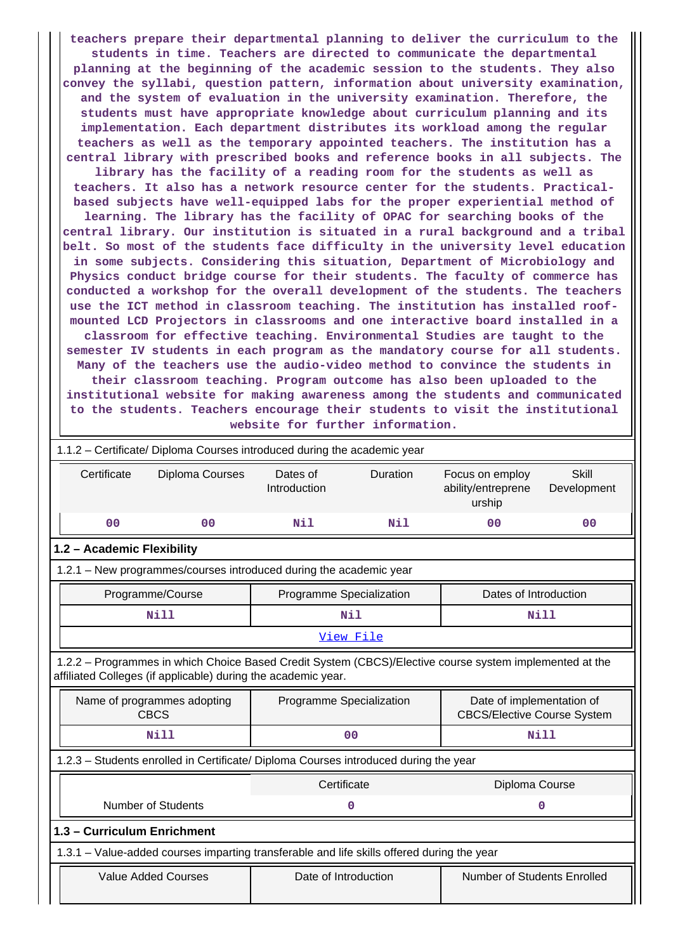**teachers prepare their departmental planning to deliver the curriculum to the students in time. Teachers are directed to communicate the departmental planning at the beginning of the academic session to the students. They also convey the syllabi, question pattern, information about university examination, and the system of evaluation in the university examination. Therefore, the students must have appropriate knowledge about curriculum planning and its implementation. Each department distributes its workload among the regular teachers as well as the temporary appointed teachers. The institution has a central library with prescribed books and reference books in all subjects. The library has the facility of a reading room for the students as well as teachers. It also has a network resource center for the students. Practicalbased subjects have well-equipped labs for the proper experiential method of learning. The library has the facility of OPAC for searching books of the central library. Our institution is situated in a rural background and a tribal belt. So most of the students face difficulty in the university level education in some subjects. Considering this situation, Department of Microbiology and Physics conduct bridge course for their students. The faculty of commerce has conducted a workshop for the overall development of the students. The teachers use the ICT method in classroom teaching. The institution has installed roofmounted LCD Projectors in classrooms and one interactive board installed in a classroom for effective teaching. Environmental Studies are taught to the semester IV students in each program as the mandatory course for all students. Many of the teachers use the audio-video method to convince the students in their classroom teaching. Program outcome has also been uploaded to the institutional website for making awareness among the students and communicated to the students. Teachers encourage their students to visit the institutional website for further information.**

|                             | 1.1.2 - Certificate/ Diploma Courses introduced during the academic year                                                                                                 |                          |                |                                                                 |                             |  |  |
|-----------------------------|--------------------------------------------------------------------------------------------------------------------------------------------------------------------------|--------------------------|----------------|-----------------------------------------------------------------|-----------------------------|--|--|
| Certificate                 | Diploma Courses                                                                                                                                                          | Dates of<br>Introduction | Duration       | Focus on employ<br>ability/entreprene<br>urship                 | <b>Skill</b><br>Development |  |  |
| 0 <sub>0</sub>              | 0 <sub>0</sub>                                                                                                                                                           | Nil                      | Nil            | 0 <sub>0</sub>                                                  | 0 <sup>0</sup>              |  |  |
|                             | 1.2 - Academic Flexibility                                                                                                                                               |                          |                |                                                                 |                             |  |  |
|                             | 1.2.1 - New programmes/courses introduced during the academic year                                                                                                       |                          |                |                                                                 |                             |  |  |
|                             | Programme Specialization<br>Dates of Introduction<br>Programme/Course                                                                                                    |                          |                |                                                                 |                             |  |  |
|                             | <b>Nill</b>                                                                                                                                                              |                          | Nil            |                                                                 | Nill                        |  |  |
|                             |                                                                                                                                                                          |                          | View File      |                                                                 |                             |  |  |
|                             | 1.2.2 - Programmes in which Choice Based Credit System (CBCS)/Elective course system implemented at the<br>affiliated Colleges (if applicable) during the academic year. |                          |                |                                                                 |                             |  |  |
|                             | Name of programmes adopting<br><b>CBCS</b>                                                                                                                               | Programme Specialization |                | Date of implementation of<br><b>CBCS/Elective Course System</b> |                             |  |  |
|                             | <b>Nill</b>                                                                                                                                                              |                          | 0 <sub>0</sub> | <b>Nill</b>                                                     |                             |  |  |
|                             | 1.2.3 - Students enrolled in Certificate/ Diploma Courses introduced during the year                                                                                     |                          |                |                                                                 |                             |  |  |
|                             |                                                                                                                                                                          | Certificate              |                | Diploma Course                                                  |                             |  |  |
|                             | <b>Number of Students</b>                                                                                                                                                |                          | $\mathbf 0$    |                                                                 | 0                           |  |  |
| 1.3 - Curriculum Enrichment |                                                                                                                                                                          |                          |                |                                                                 |                             |  |  |
|                             | 1.3.1 – Value-added courses imparting transferable and life skills offered during the year                                                                               |                          |                |                                                                 |                             |  |  |
|                             | <b>Value Added Courses</b>                                                                                                                                               | Date of Introduction     |                | <b>Number of Students Enrolled</b>                              |                             |  |  |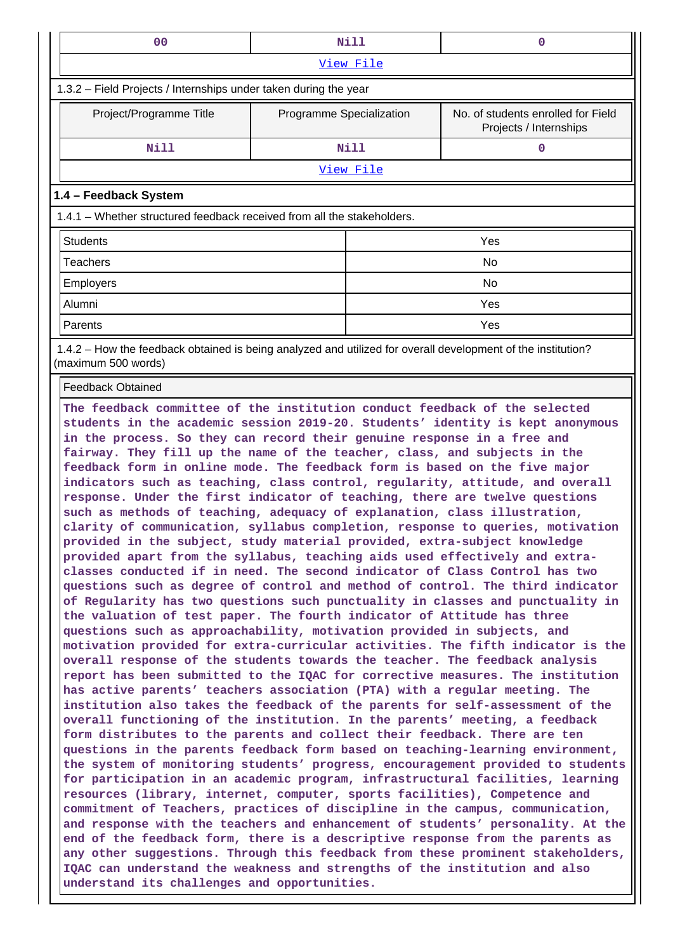| 00                                                                                                                                                                                                                                                                                                                                                                                                                                                                                                                                                                                                                                                                                                                                                                                                                                                                                                                                                                                                                                                                                                                                                                                                                                                                                                                                                                                                                                                                                                                                                                                                                                                                                                                                                                                                                                                                                                                                                                           | Nill                     |  | 0                                                            |  |
|------------------------------------------------------------------------------------------------------------------------------------------------------------------------------------------------------------------------------------------------------------------------------------------------------------------------------------------------------------------------------------------------------------------------------------------------------------------------------------------------------------------------------------------------------------------------------------------------------------------------------------------------------------------------------------------------------------------------------------------------------------------------------------------------------------------------------------------------------------------------------------------------------------------------------------------------------------------------------------------------------------------------------------------------------------------------------------------------------------------------------------------------------------------------------------------------------------------------------------------------------------------------------------------------------------------------------------------------------------------------------------------------------------------------------------------------------------------------------------------------------------------------------------------------------------------------------------------------------------------------------------------------------------------------------------------------------------------------------------------------------------------------------------------------------------------------------------------------------------------------------------------------------------------------------------------------------------------------------|--------------------------|--|--------------------------------------------------------------|--|
|                                                                                                                                                                                                                                                                                                                                                                                                                                                                                                                                                                                                                                                                                                                                                                                                                                                                                                                                                                                                                                                                                                                                                                                                                                                                                                                                                                                                                                                                                                                                                                                                                                                                                                                                                                                                                                                                                                                                                                              | View File                |  |                                                              |  |
| 1.3.2 – Field Projects / Internships under taken during the year                                                                                                                                                                                                                                                                                                                                                                                                                                                                                                                                                                                                                                                                                                                                                                                                                                                                                                                                                                                                                                                                                                                                                                                                                                                                                                                                                                                                                                                                                                                                                                                                                                                                                                                                                                                                                                                                                                             |                          |  |                                                              |  |
| Project/Programme Title                                                                                                                                                                                                                                                                                                                                                                                                                                                                                                                                                                                                                                                                                                                                                                                                                                                                                                                                                                                                                                                                                                                                                                                                                                                                                                                                                                                                                                                                                                                                                                                                                                                                                                                                                                                                                                                                                                                                                      | Programme Specialization |  | No. of students enrolled for Field<br>Projects / Internships |  |
| <b>Nill</b>                                                                                                                                                                                                                                                                                                                                                                                                                                                                                                                                                                                                                                                                                                                                                                                                                                                                                                                                                                                                                                                                                                                                                                                                                                                                                                                                                                                                                                                                                                                                                                                                                                                                                                                                                                                                                                                                                                                                                                  | Nill                     |  | $\mathbf{O}$                                                 |  |
|                                                                                                                                                                                                                                                                                                                                                                                                                                                                                                                                                                                                                                                                                                                                                                                                                                                                                                                                                                                                                                                                                                                                                                                                                                                                                                                                                                                                                                                                                                                                                                                                                                                                                                                                                                                                                                                                                                                                                                              | <u>View File</u>         |  |                                                              |  |
| 1.4 - Feedback System                                                                                                                                                                                                                                                                                                                                                                                                                                                                                                                                                                                                                                                                                                                                                                                                                                                                                                                                                                                                                                                                                                                                                                                                                                                                                                                                                                                                                                                                                                                                                                                                                                                                                                                                                                                                                                                                                                                                                        |                          |  |                                                              |  |
| 1.4.1 – Whether structured feedback received from all the stakeholders.                                                                                                                                                                                                                                                                                                                                                                                                                                                                                                                                                                                                                                                                                                                                                                                                                                                                                                                                                                                                                                                                                                                                                                                                                                                                                                                                                                                                                                                                                                                                                                                                                                                                                                                                                                                                                                                                                                      |                          |  |                                                              |  |
| <b>Students</b>                                                                                                                                                                                                                                                                                                                                                                                                                                                                                                                                                                                                                                                                                                                                                                                                                                                                                                                                                                                                                                                                                                                                                                                                                                                                                                                                                                                                                                                                                                                                                                                                                                                                                                                                                                                                                                                                                                                                                              |                          |  | Yes                                                          |  |
| <b>Teachers</b>                                                                                                                                                                                                                                                                                                                                                                                                                                                                                                                                                                                                                                                                                                                                                                                                                                                                                                                                                                                                                                                                                                                                                                                                                                                                                                                                                                                                                                                                                                                                                                                                                                                                                                                                                                                                                                                                                                                                                              |                          |  | No                                                           |  |
| Employers                                                                                                                                                                                                                                                                                                                                                                                                                                                                                                                                                                                                                                                                                                                                                                                                                                                                                                                                                                                                                                                                                                                                                                                                                                                                                                                                                                                                                                                                                                                                                                                                                                                                                                                                                                                                                                                                                                                                                                    |                          |  | No                                                           |  |
| Alumni                                                                                                                                                                                                                                                                                                                                                                                                                                                                                                                                                                                                                                                                                                                                                                                                                                                                                                                                                                                                                                                                                                                                                                                                                                                                                                                                                                                                                                                                                                                                                                                                                                                                                                                                                                                                                                                                                                                                                                       |                          |  | Yes                                                          |  |
| Parents                                                                                                                                                                                                                                                                                                                                                                                                                                                                                                                                                                                                                                                                                                                                                                                                                                                                                                                                                                                                                                                                                                                                                                                                                                                                                                                                                                                                                                                                                                                                                                                                                                                                                                                                                                                                                                                                                                                                                                      |                          |  | Yes                                                          |  |
| 1.4.2 – How the feedback obtained is being analyzed and utilized for overall development of the institution?<br>(maximum 500 words)                                                                                                                                                                                                                                                                                                                                                                                                                                                                                                                                                                                                                                                                                                                                                                                                                                                                                                                                                                                                                                                                                                                                                                                                                                                                                                                                                                                                                                                                                                                                                                                                                                                                                                                                                                                                                                          |                          |  |                                                              |  |
| <b>Feedback Obtained</b>                                                                                                                                                                                                                                                                                                                                                                                                                                                                                                                                                                                                                                                                                                                                                                                                                                                                                                                                                                                                                                                                                                                                                                                                                                                                                                                                                                                                                                                                                                                                                                                                                                                                                                                                                                                                                                                                                                                                                     |                          |  |                                                              |  |
| in the process. So they can record their genuine response in a free and<br>fairway. They fill up the name of the teacher, class, and subjects in the<br>feedback form in online mode. The feedback form is based on the five major<br>indicators such as teaching, class control, regularity, attitude, and overall<br>response. Under the first indicator of teaching, there are twelve questions<br>such as methods of teaching, adequacy of explanation, class illustration,<br>clarity of communication, syllabus completion, response to queries, motivation<br>provided in the subject, study material provided, extra-subject knowledge<br>provided apart from the syllabus, teaching aids used effectively and extra-<br>classes conducted if in need. The second indicator of Class Control has two<br>questions such as degree of control and method of control. The third indicator<br>of Regularity has two questions such punctuality in classes and punctuality in<br>the valuation of test paper. The fourth indicator of Attitude has three<br>questions such as approachability, motivation provided in subjects, and<br>motivation provided for extra-curricular activities. The fifth indicator is the<br>overall response of the students towards the teacher. The feedback analysis<br>report has been submitted to the IQAC for corrective measures. The institution<br>has active parents' teachers association (PTA) with a regular meeting. The<br>institution also takes the feedback of the parents for self-assessment of the<br>overall functioning of the institution. In the parents' meeting, a feedback<br>form distributes to the parents and collect their feedback. There are ten<br>questions in the parents feedback form based on teaching-learning environment,<br>the system of monitoring students' progress, encouragement provided to students<br>for participation in an academic program, infrastructural facilities, learning |                          |  |                                                              |  |
| resources (library, internet, computer, sports facilities), Competence and<br>commitment of Teachers, practices of discipline in the campus, communication,<br>and response with the teachers and enhancement of students' personality. At the<br>end of the feedback form, there is a descriptive response from the parents as<br>any other suggestions. Through this feedback from these prominent stakeholders,<br>IQAC can understand the weakness and strengths of the institution and also<br>understand its challenges and opportunities.                                                                                                                                                                                                                                                                                                                                                                                                                                                                                                                                                                                                                                                                                                                                                                                                                                                                                                                                                                                                                                                                                                                                                                                                                                                                                                                                                                                                                             |                          |  |                                                              |  |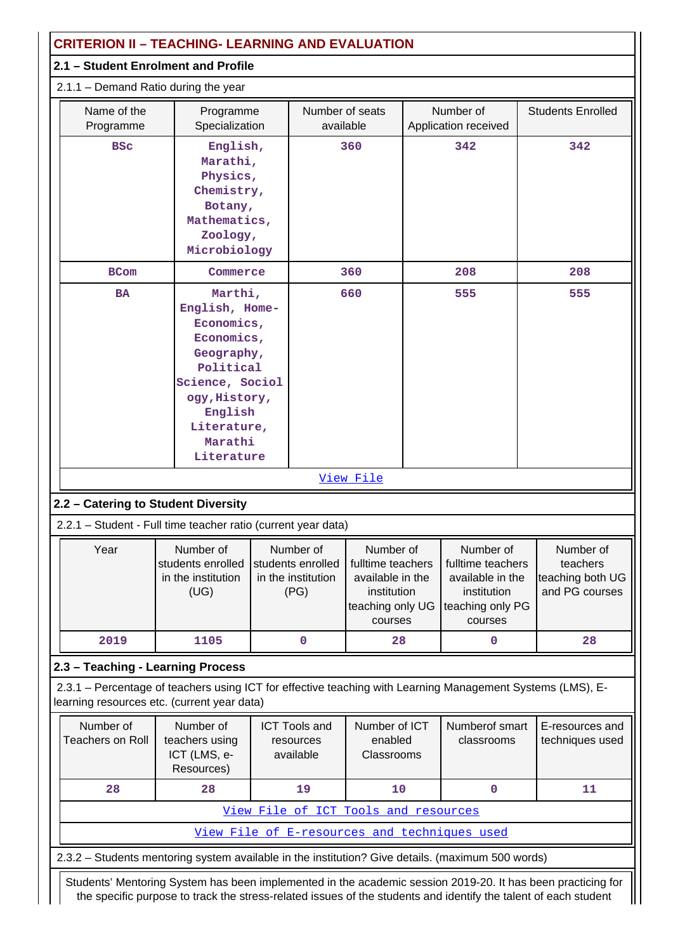| <b>CRITERION II - TEACHING- LEARNING AND EVALUATION</b>                                                                                                   |                                                                                                                                                                         |  |                                                              |                                                                                                  |  |                                                                                                  |                                                             |
|-----------------------------------------------------------------------------------------------------------------------------------------------------------|-------------------------------------------------------------------------------------------------------------------------------------------------------------------------|--|--------------------------------------------------------------|--------------------------------------------------------------------------------------------------|--|--------------------------------------------------------------------------------------------------|-------------------------------------------------------------|
| 2.1 - Student Enrolment and Profile                                                                                                                       |                                                                                                                                                                         |  |                                                              |                                                                                                  |  |                                                                                                  |                                                             |
| $2.1.1 -$ Demand Ratio during the year                                                                                                                    |                                                                                                                                                                         |  |                                                              |                                                                                                  |  |                                                                                                  |                                                             |
| Name of the<br>Programme                                                                                                                                  | Programme<br>Specialization                                                                                                                                             |  | Number of seats<br>available                                 |                                                                                                  |  | Number of<br>Application received                                                                | <b>Students Enrolled</b>                                    |
| <b>BSC</b>                                                                                                                                                | English,<br>Marathi,<br>Physics,<br>Chemistry,<br>Botany,<br>Mathematics,<br>Zoology,<br>Microbiology                                                                   |  |                                                              | 360                                                                                              |  | 342                                                                                              | 342                                                         |
| <b>BCom</b>                                                                                                                                               | Commerce                                                                                                                                                                |  |                                                              | 360                                                                                              |  | 208                                                                                              | 208                                                         |
| <b>BA</b>                                                                                                                                                 | Marthi,<br>English, Home-<br>Economics,<br>Economics,<br>Geography,<br>Political<br>Science, Sociol<br>ogy, History,<br>English<br>Literature,<br>Marathi<br>Literature |  |                                                              | 660                                                                                              |  | 555                                                                                              | 555                                                         |
|                                                                                                                                                           |                                                                                                                                                                         |  |                                                              | View File                                                                                        |  |                                                                                                  |                                                             |
| 2.2 - Catering to Student Diversity                                                                                                                       |                                                                                                                                                                         |  |                                                              |                                                                                                  |  |                                                                                                  |                                                             |
| 2.2.1 - Student - Full time teacher ratio (current year data)                                                                                             |                                                                                                                                                                         |  |                                                              |                                                                                                  |  |                                                                                                  |                                                             |
| Year                                                                                                                                                      | Number of<br>students enrolled<br>in the institution<br>(UG)                                                                                                            |  | Number of<br>students enrolled<br>in the institution<br>(PG) | Number of<br>fulltime teachers<br>available in the<br>institution<br>teaching only UG<br>courses |  | Number of<br>fulltime teachers<br>available in the<br>institution<br>teaching only PG<br>courses | Number of<br>teachers<br>teaching both UG<br>and PG courses |
| 2019                                                                                                                                                      | 1105                                                                                                                                                                    |  | 0                                                            | 28                                                                                               |  | 0                                                                                                | 28                                                          |
| 2.3 - Teaching - Learning Process                                                                                                                         |                                                                                                                                                                         |  |                                                              |                                                                                                  |  |                                                                                                  |                                                             |
| 2.3.1 - Percentage of teachers using ICT for effective teaching with Learning Management Systems (LMS), E-<br>learning resources etc. (current year data) |                                                                                                                                                                         |  |                                                              |                                                                                                  |  |                                                                                                  |                                                             |
| Number of<br><b>Teachers on Roll</b>                                                                                                                      | Number of<br>teachers using<br>ICT (LMS, e-<br>Resources)                                                                                                               |  | <b>ICT Tools and</b><br>resources<br>available               | Number of ICT<br>enabled<br>Classrooms                                                           |  | Numberof smart<br>classrooms                                                                     | E-resources and<br>techniques used                          |
| 28                                                                                                                                                        | 28                                                                                                                                                                      |  | 19                                                           | 10                                                                                               |  | 0                                                                                                | 11                                                          |
|                                                                                                                                                           |                                                                                                                                                                         |  | View File of ICT Tools and resources                         |                                                                                                  |  |                                                                                                  |                                                             |
|                                                                                                                                                           |                                                                                                                                                                         |  |                                                              |                                                                                                  |  | View File of E-resources and techniques used                                                     |                                                             |
| 2.3.2 - Students mentoring system available in the institution? Give details. (maximum 500 words)                                                         |                                                                                                                                                                         |  |                                                              |                                                                                                  |  |                                                                                                  |                                                             |
| Students' Mentoring System has been implemented in the academic session 2019-20. It has been practicing for                                               |                                                                                                                                                                         |  |                                                              |                                                                                                  |  |                                                                                                  |                                                             |

the specific purpose to track the stress-related issues of the students and identify the talent of each student

 $\mathbf{\mathbf{\mathsf{H}}}$ 

 $\parallel$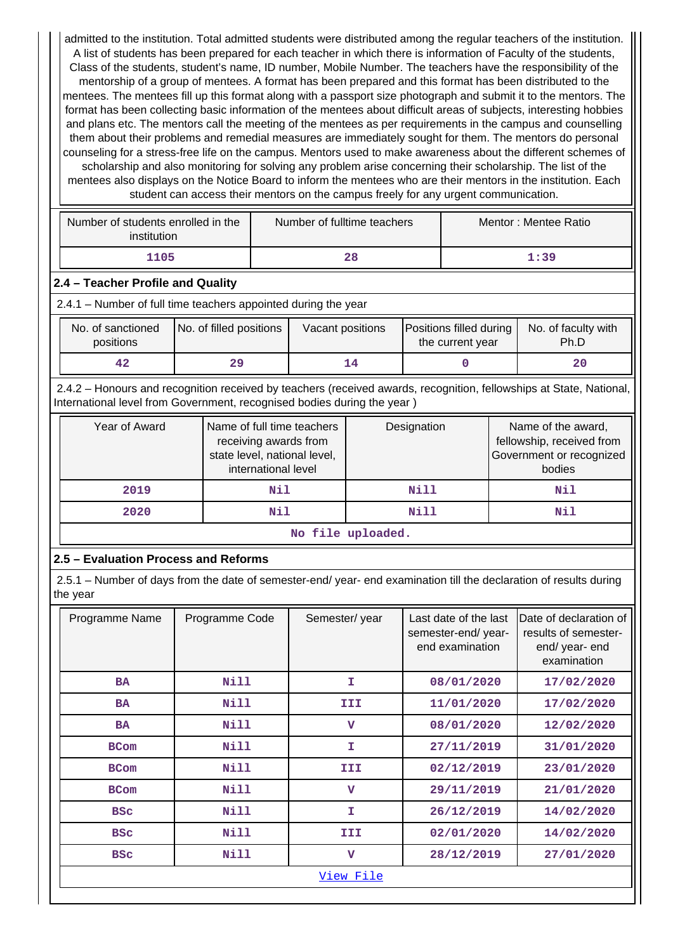admitted to the institution. Total admitted students were distributed among the regular teachers of the institution. A list of students has been prepared for each teacher in which there is information of Faculty of the students, Class of the students, student's name, ID number, Mobile Number. The teachers have the responsibility of the mentorship of a group of mentees. A format has been prepared and this format has been distributed to the mentees. The mentees fill up this format along with a passport size photograph and submit it to the mentors. The format has been collecting basic information of the mentees about difficult areas of subjects, interesting hobbies and plans etc. The mentors call the meeting of the mentees as per requirements in the campus and counselling them about their problems and remedial measures are immediately sought for them. The mentors do personal counseling for a stress-free life on the campus. Mentors used to make awareness about the different schemes of scholarship and also monitoring for solving any problem arise concerning their scholarship. The list of the mentees also displays on the Notice Board to inform the mentees who are their mentors in the institution. Each student can access their mentors on the campus freely for any urgent communication.

| Number of students enrolled in the<br>institution | Number of fulltime teachers | Mentor: Mentee Ratio |
|---------------------------------------------------|-----------------------------|----------------------|
| 1105                                              | 28                          | 1:39                 |

## **2.4 – Teacher Profile and Quality**

2.4.1 – Number of full time teachers appointed during the year

| No. of sanctioned<br>positions | No. of filled positions | Vacant positions | Positions filled during<br>the current year | No. of faculty with<br>Ph.D |
|--------------------------------|-------------------------|------------------|---------------------------------------------|-----------------------------|
| 42                             | 29                      | 14               |                                             | 20                          |

 2.4.2 – Honours and recognition received by teachers (received awards, recognition, fellowships at State, National, International level from Government, recognised bodies during the year )

| Year of Award           | Name of full time teachers<br>receiving awards from<br>state level, national level,<br>international level | Designation | Name of the award,<br>fellowship, received from<br>Government or recognized<br>bodies |  |  |  |
|-------------------------|------------------------------------------------------------------------------------------------------------|-------------|---------------------------------------------------------------------------------------|--|--|--|
| 2019                    | Nil                                                                                                        | Nill        | Nil                                                                                   |  |  |  |
| 2020                    | Nil                                                                                                        | Nill        | Nil                                                                                   |  |  |  |
| ara 1947 a cuata a Salt |                                                                                                            |             |                                                                                       |  |  |  |

**No file uploaded.**

# **2.5 – Evaluation Process and Reforms**

 2.5.1 – Number of days from the date of semester-end/ year- end examination till the declaration of results during the year

| Programme Name | Programme Code | Semester/year           | Last date of the last<br>semester-end/year-<br>end examination | Date of declaration of<br>results of semester-<br>end/ year- end<br>examination |
|----------------|----------------|-------------------------|----------------------------------------------------------------|---------------------------------------------------------------------------------|
| <b>BA</b>      | Nill           | T.                      | 08/01/2020                                                     | 17/02/2020                                                                      |
| <b>BA</b>      | Nill           | III                     | 11/01/2020                                                     | 17/02/2020                                                                      |
| <b>BA</b>      | Nill           | $\mathbf{v}$            | 08/01/2020                                                     | 12/02/2020                                                                      |
| <b>BCom</b>    | <b>Nill</b>    | T.                      | 27/11/2019                                                     | 31/01/2020                                                                      |
| <b>BCom</b>    | Nill           | III                     | 02/12/2019                                                     | 23/01/2020                                                                      |
| <b>BCom</b>    | Nill           | $\mathbf{v}$            | 29/11/2019                                                     | 21/01/2020                                                                      |
| <b>BSC</b>     | Nill           | T.                      | 26/12/2019                                                     | 14/02/2020                                                                      |
| <b>BSC</b>     | Nill           | III                     | 02/01/2020                                                     | 14/02/2020                                                                      |
| <b>BSC</b>     | Nill           | $\overline{\mathbf{V}}$ | 28/12/2019                                                     | 27/01/2020                                                                      |
|                |                | View File               |                                                                |                                                                                 |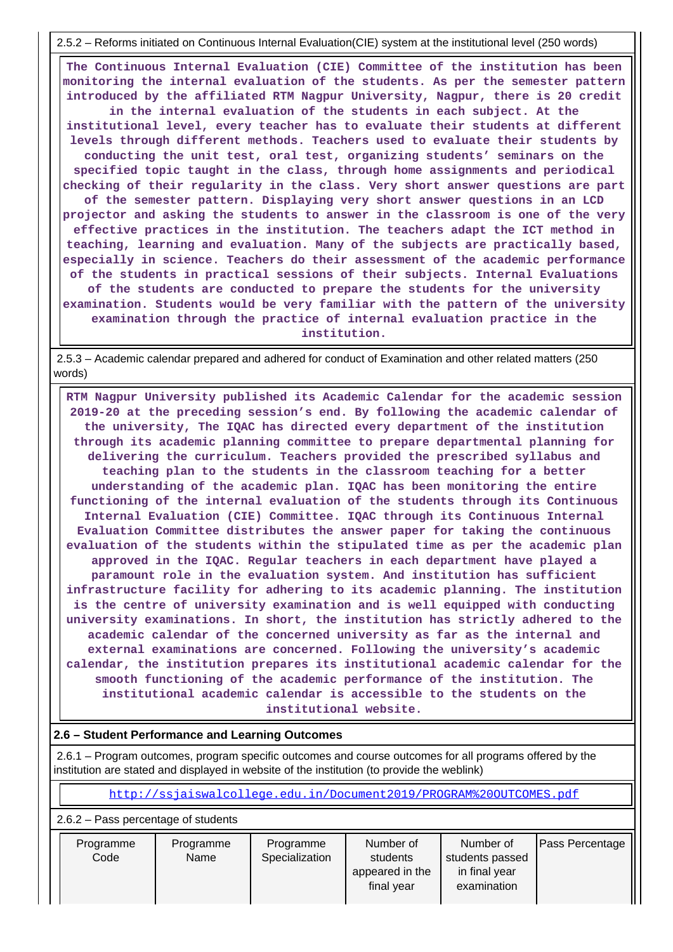2.5.2 – Reforms initiated on Continuous Internal Evaluation(CIE) system at the institutional level (250 words)

 **The Continuous Internal Evaluation (CIE) Committee of the institution has been monitoring the internal evaluation of the students. As per the semester pattern introduced by the affiliated RTM Nagpur University, Nagpur, there is 20 credit**

**in the internal evaluation of the students in each subject. At the institutional level, every teacher has to evaluate their students at different levels through different methods. Teachers used to evaluate their students by conducting the unit test, oral test, organizing students' seminars on the specified topic taught in the class, through home assignments and periodical checking of their regularity in the class. Very short answer questions are part of the semester pattern. Displaying very short answer questions in an LCD projector and asking the students to answer in the classroom is one of the very effective practices in the institution. The teachers adapt the ICT method in teaching, learning and evaluation. Many of the subjects are practically based, especially in science. Teachers do their assessment of the academic performance of the students in practical sessions of their subjects. Internal Evaluations of the students are conducted to prepare the students for the university examination. Students would be very familiar with the pattern of the university examination through the practice of internal evaluation practice in the institution.**

 2.5.3 – Academic calendar prepared and adhered for conduct of Examination and other related matters (250 words)

 **RTM Nagpur University published its Academic Calendar for the academic session 2019-20 at the preceding session's end. By following the academic calendar of the university, The IQAC has directed every department of the institution through its academic planning committee to prepare departmental planning for delivering the curriculum. Teachers provided the prescribed syllabus and teaching plan to the students in the classroom teaching for a better understanding of the academic plan. IQAC has been monitoring the entire functioning of the internal evaluation of the students through its Continuous Internal Evaluation (CIE) Committee. IQAC through its Continuous Internal Evaluation Committee distributes the answer paper for taking the continuous evaluation of the students within the stipulated time as per the academic plan approved in the IQAC. Regular teachers in each department have played a paramount role in the evaluation system. And institution has sufficient infrastructure facility for adhering to its academic planning. The institution is the centre of university examination and is well equipped with conducting university examinations. In short, the institution has strictly adhered to the academic calendar of the concerned university as far as the internal and external examinations are concerned. Following the university's academic calendar, the institution prepares its institutional academic calendar for the smooth functioning of the academic performance of the institution. The institutional academic calendar is accessible to the students on the institutional website.**

#### **2.6 – Student Performance and Learning Outcomes**

 2.6.1 – Program outcomes, program specific outcomes and course outcomes for all programs offered by the institution are stated and displayed in website of the institution (to provide the weblink)

<http://ssjaiswalcollege.edu.in/Document2019/PROGRAM%20OUTCOMES.pdf>

2.6.2 – Pass percentage of students

| Programme<br>Code | Programme<br>Name | Programme<br>Specialization | Number of<br>students<br>appeared in the<br>final year | Number of<br>students passed<br>in final year<br>examination | <b>Pass Percentage</b> |
|-------------------|-------------------|-----------------------------|--------------------------------------------------------|--------------------------------------------------------------|------------------------|
|                   |                   |                             |                                                        |                                                              |                        |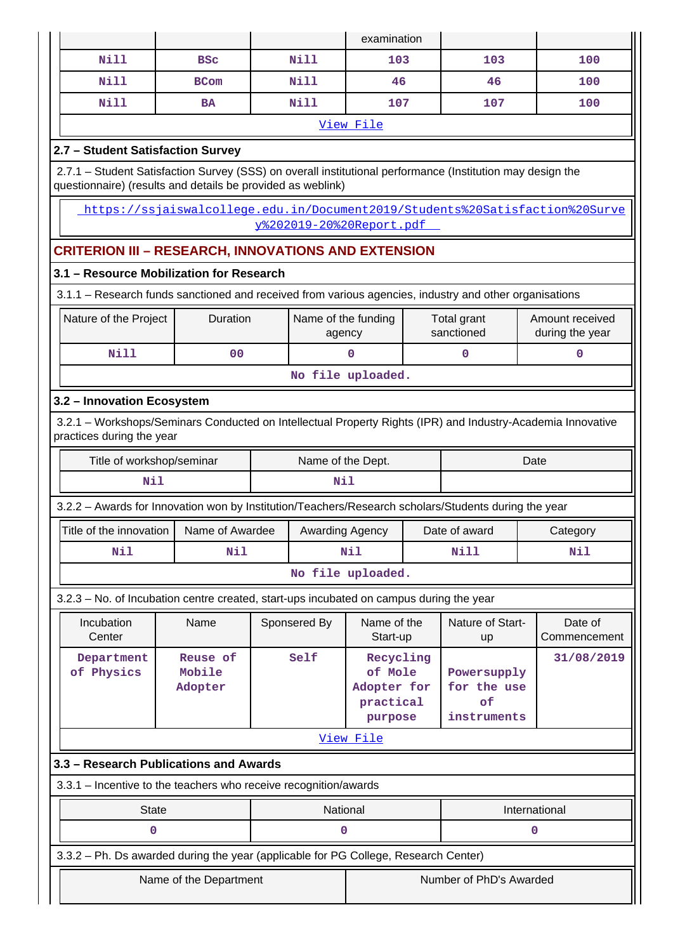|                                                                                                                                                                           |                                                        |  |                               | examination              |                                                                                                                |                               |                                                                              |  |  |  |  |
|---------------------------------------------------------------------------------------------------------------------------------------------------------------------------|--------------------------------------------------------|--|-------------------------------|--------------------------|----------------------------------------------------------------------------------------------------------------|-------------------------------|------------------------------------------------------------------------------|--|--|--|--|
| <b>Nill</b>                                                                                                                                                               | <b>BSC</b>                                             |  | <b>Nill</b>                   | 103                      |                                                                                                                | 103                           | 100                                                                          |  |  |  |  |
| <b>Nill</b>                                                                                                                                                               | <b>BCom</b>                                            |  | <b>Nill</b>                   | 46                       |                                                                                                                | 46                            | 100                                                                          |  |  |  |  |
| <b>Nill</b>                                                                                                                                                               | <b>BA</b>                                              |  | <b>Nill</b>                   | 107                      |                                                                                                                | 107                           | 100                                                                          |  |  |  |  |
|                                                                                                                                                                           |                                                        |  |                               | View File                |                                                                                                                |                               |                                                                              |  |  |  |  |
| 2.7 - Student Satisfaction Survey                                                                                                                                         |                                                        |  |                               |                          |                                                                                                                |                               |                                                                              |  |  |  |  |
| 2.7.1 - Student Satisfaction Survey (SSS) on overall institutional performance (Institution may design the<br>questionnaire) (results and details be provided as weblink) |                                                        |  |                               |                          |                                                                                                                |                               |                                                                              |  |  |  |  |
|                                                                                                                                                                           |                                                        |  |                               | v%202019-20%20Report.pdf |                                                                                                                |                               | https://ssjaiswalcollege.edu.in/Document2019/Students%20Satisfaction%20Surve |  |  |  |  |
| <b>CRITERION III - RESEARCH, INNOVATIONS AND EXTENSION</b>                                                                                                                |                                                        |  |                               |                          |                                                                                                                |                               |                                                                              |  |  |  |  |
|                                                                                                                                                                           | 3.1 - Resource Mobilization for Research               |  |                               |                          |                                                                                                                |                               |                                                                              |  |  |  |  |
| 3.1.1 - Research funds sanctioned and received from various agencies, industry and other organisations                                                                    |                                                        |  |                               |                          |                                                                                                                |                               |                                                                              |  |  |  |  |
| Nature of the Project                                                                                                                                                     | Duration                                               |  | Name of the funding<br>agency |                          |                                                                                                                | Total grant<br>sanctioned     | Amount received<br>during the year                                           |  |  |  |  |
| <b>Nill</b>                                                                                                                                                               | 00                                                     |  |                               | $\mathbf 0$              |                                                                                                                | $\mathbf 0$                   | $\mathbf 0$                                                                  |  |  |  |  |
| No file uploaded.                                                                                                                                                         |                                                        |  |                               |                          |                                                                                                                |                               |                                                                              |  |  |  |  |
| 3.2 - Innovation Ecosystem                                                                                                                                                |                                                        |  |                               |                          |                                                                                                                |                               |                                                                              |  |  |  |  |
| 3.2.1 - Workshops/Seminars Conducted on Intellectual Property Rights (IPR) and Industry-Academia Innovative<br>practices during the year                                  |                                                        |  |                               |                          |                                                                                                                |                               |                                                                              |  |  |  |  |
|                                                                                                                                                                           | Title of workshop/seminar<br>Name of the Dept.<br>Date |  |                               |                          |                                                                                                                |                               |                                                                              |  |  |  |  |
| Nil                                                                                                                                                                       |                                                        |  | Nil                           |                          |                                                                                                                |                               |                                                                              |  |  |  |  |
| 3.2.2 - Awards for Innovation won by Institution/Teachers/Research scholars/Students during the year                                                                      |                                                        |  |                               |                          |                                                                                                                |                               |                                                                              |  |  |  |  |
| Title of the innovation                                                                                                                                                   | Name of Awardee                                        |  | Awarding Agency               |                          |                                                                                                                | Date of award                 | Category                                                                     |  |  |  |  |
| Nil                                                                                                                                                                       | Nil                                                    |  |                               | N11                      |                                                                                                                | <b>Nill</b>                   | Nil                                                                          |  |  |  |  |
|                                                                                                                                                                           |                                                        |  |                               | No file uploaded.        |                                                                                                                |                               |                                                                              |  |  |  |  |
| 3.2.3 – No. of Incubation centre created, start-ups incubated on campus during the year                                                                                   |                                                        |  |                               |                          |                                                                                                                |                               |                                                                              |  |  |  |  |
| Incubation<br>Center                                                                                                                                                      | Name                                                   |  | Sponsered By                  | Name of the<br>Start-up  |                                                                                                                | Nature of Start-<br><b>up</b> | Date of<br>Commencement                                                      |  |  |  |  |
| Department<br>of Physics                                                                                                                                                  | Reuse of<br>Mobile<br>Adopter                          |  | Self                          |                          | Recycling<br>of Mole<br>Powersupply<br>Adopter for<br>for the use<br>of<br>practical<br>instruments<br>purpose |                               | 31/08/2019                                                                   |  |  |  |  |
|                                                                                                                                                                           |                                                        |  |                               | View File                |                                                                                                                |                               |                                                                              |  |  |  |  |
| 3.3 - Research Publications and Awards                                                                                                                                    |                                                        |  |                               |                          |                                                                                                                |                               |                                                                              |  |  |  |  |
| 3.3.1 - Incentive to the teachers who receive recognition/awards                                                                                                          |                                                        |  |                               |                          |                                                                                                                |                               |                                                                              |  |  |  |  |
| National<br><b>State</b><br>International                                                                                                                                 |                                                        |  |                               |                          |                                                                                                                |                               |                                                                              |  |  |  |  |
| 0                                                                                                                                                                         |                                                        |  | 0                             |                          |                                                                                                                |                               | 0                                                                            |  |  |  |  |
| 3.3.2 - Ph. Ds awarded during the year (applicable for PG College, Research Center)                                                                                       |                                                        |  |                               |                          |                                                                                                                |                               |                                                                              |  |  |  |  |
|                                                                                                                                                                           | Number of PhD's Awarded<br>Name of the Department      |  |                               |                          |                                                                                                                |                               |                                                                              |  |  |  |  |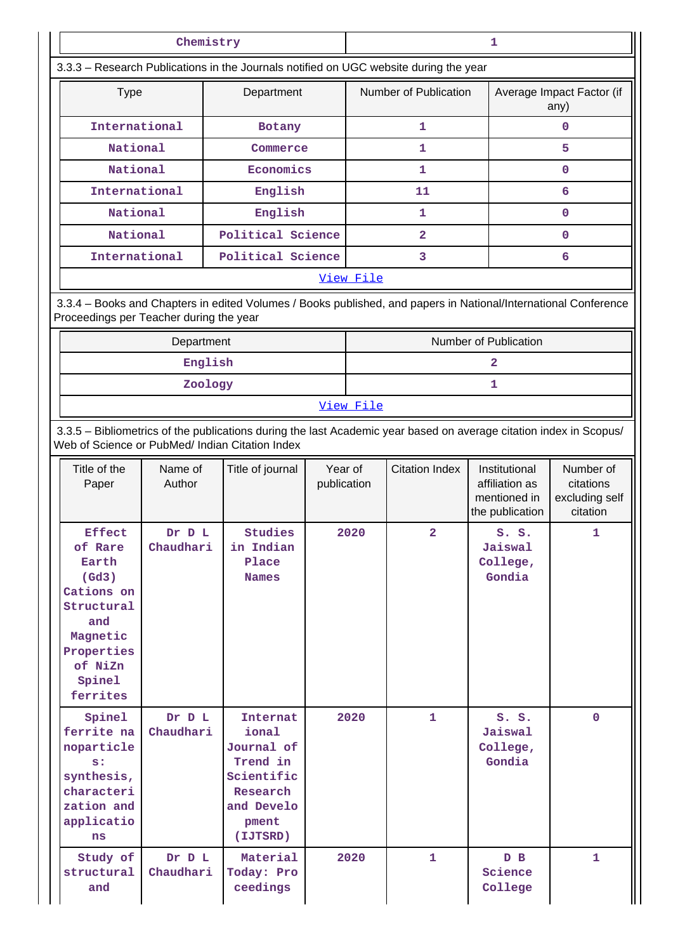|                                                                                                                                                                       | Chemistry                |                                                                                                                 |                        | 1         |                         |                                                                    |                                                      |  |
|-----------------------------------------------------------------------------------------------------------------------------------------------------------------------|--------------------------|-----------------------------------------------------------------------------------------------------------------|------------------------|-----------|-------------------------|--------------------------------------------------------------------|------------------------------------------------------|--|
|                                                                                                                                                                       |                          | 3.3.3 - Research Publications in the Journals notified on UGC website during the year                           |                        |           |                         |                                                                    |                                                      |  |
| <b>Type</b>                                                                                                                                                           |                          | Department                                                                                                      |                        |           | Number of Publication   |                                                                    | Average Impact Factor (if<br>any)                    |  |
| International                                                                                                                                                         |                          | Botany                                                                                                          |                        |           | 1                       |                                                                    | 0                                                    |  |
| National                                                                                                                                                              |                          | Commerce                                                                                                        |                        |           | 1                       |                                                                    | 5                                                    |  |
| National                                                                                                                                                              |                          | Economics                                                                                                       |                        |           | 1                       |                                                                    | 0                                                    |  |
|                                                                                                                                                                       | International<br>English |                                                                                                                 |                        |           | 11                      |                                                                    | 6                                                    |  |
| National                                                                                                                                                              |                          | English                                                                                                         |                        |           | 1                       |                                                                    | 0                                                    |  |
| National                                                                                                                                                              |                          | Political Science                                                                                               |                        |           | $\overline{\mathbf{2}}$ |                                                                    | 0                                                    |  |
| International                                                                                                                                                         |                          | Political Science                                                                                               |                        |           | 3                       |                                                                    | 6                                                    |  |
|                                                                                                                                                                       |                          |                                                                                                                 |                        | View File |                         |                                                                    |                                                      |  |
| Proceedings per Teacher during the year                                                                                                                               |                          | 3.3.4 - Books and Chapters in edited Volumes / Books published, and papers in National/International Conference |                        |           |                         |                                                                    |                                                      |  |
|                                                                                                                                                                       | Department               |                                                                                                                 |                        |           |                         | Number of Publication                                              |                                                      |  |
|                                                                                                                                                                       | English                  |                                                                                                                 |                        |           |                         | $\mathbf{2}$                                                       |                                                      |  |
|                                                                                                                                                                       | Zoology                  |                                                                                                                 |                        |           |                         | 1                                                                  |                                                      |  |
|                                                                                                                                                                       |                          |                                                                                                                 |                        | View File |                         |                                                                    |                                                      |  |
| 3.3.5 - Bibliometrics of the publications during the last Academic year based on average citation index in Scopus/<br>Web of Science or PubMed/ Indian Citation Index |                          |                                                                                                                 |                        |           |                         |                                                                    |                                                      |  |
| Title of the<br>Paper                                                                                                                                                 | Name of<br>Author        | Title of journal                                                                                                | Year of<br>publication |           | <b>Citation Index</b>   | Institutional<br>affiliation as<br>mentioned in<br>the publication | Number of<br>citations<br>excluding self<br>citation |  |
| <b>Effect</b><br>of Rare<br>Earth<br>$(\text{Gd3})$<br>Cations on<br>Structural<br>and<br>Magnetic<br>Properties<br>of NiZn<br>Spinel<br>ferrites                     | Dr D L<br>Chaudhari      | Studies<br>in Indian<br>Place<br><b>Names</b>                                                                   | 2020                   |           | 2                       | S. S.<br>Jaiswal<br>College,<br>Gondia                             | 1                                                    |  |
| Spinel<br>ferrite na<br>noparticle<br>s:<br>synthesis,<br>characteri<br>zation and<br>applicatio<br>ns                                                                | Dr D L<br>Chaudhari      | Internat<br>ional<br>Journal of<br>Trend in<br>Scientific<br>Research<br>and Develo<br>pment<br>(IJTSRD)        |                        | 2020      | 1                       | S. S.<br>Jaiswal<br>College,<br>Gondia                             | $\mathbf{0}$                                         |  |
| Study of<br>structural<br>and                                                                                                                                         | Dr D L<br>Chaudhari      | Material<br>Today: Pro<br>ceedings                                                                              |                        | 2020      | $\mathbf{1}$            | D B<br>Science<br>College                                          | $\mathbf{1}$                                         |  |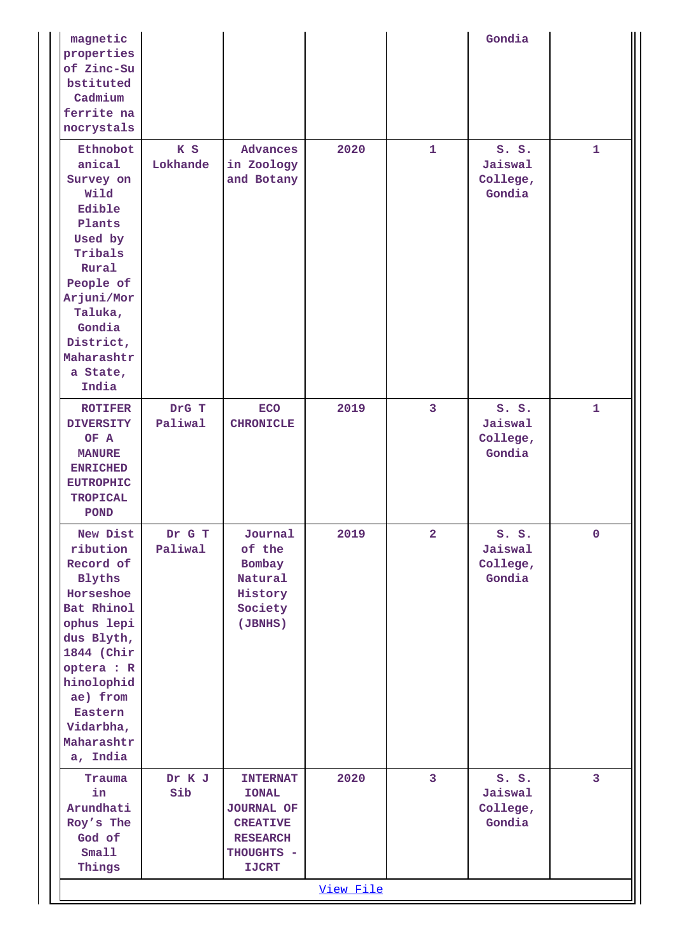| magnetic<br>properties<br>of Zinc-Su<br>bstituted<br>Cadmium<br>ferrite na<br>nocrystals                                                                                                                          |                   |                                                                                                                          |           |                         | Gondia                                 |                |
|-------------------------------------------------------------------------------------------------------------------------------------------------------------------------------------------------------------------|-------------------|--------------------------------------------------------------------------------------------------------------------------|-----------|-------------------------|----------------------------------------|----------------|
| Ethnobot<br>anical<br>Survey on<br>Wild<br>Edible<br>Plants<br>Used by<br>Tribals<br>Rural<br>People of<br>Arjuni/Mor<br>Taluka,<br>Gondia<br>District,<br>Maharashtr<br>a State,<br>India                        | K S<br>Lokhande   | <b>Advances</b><br>in Zoology<br>and Botany                                                                              | 2020      | $\mathbf{1}$            | S. S.<br>Jaiswal<br>College,<br>Gondia | $\mathbf{1}$   |
| <b>ROTIFER</b><br><b>DIVERSITY</b><br>OF A<br><b>MANURE</b><br><b>ENRICHED</b><br><b>EUTROPHIC</b><br><b>TROPICAL</b><br><b>POND</b>                                                                              | DrG T<br>Paliwal  | <b>ECO</b><br><b>CHRONICLE</b>                                                                                           | 2019      | 3                       | S. S.<br>Jaiswal<br>College,<br>Gondia | $\mathbf{1}$   |
| New Dist<br>ribution<br>Record of<br><b>Blyths</b><br>Horseshoe<br>Bat Rhinol<br>ophus lepi<br>dus Blyth,<br>1844 (Chir<br>optera : R<br>hinolophid<br>ae) from<br>Eastern<br>Vidarbha,<br>Maharashtr<br>a, India | Dr G T<br>Paliwal | Journal<br>of the<br>Bombay<br>Natural<br>History<br>Society<br>(JBNHS)                                                  | 2019      | $\overline{a}$          | S. S.<br>Jaiswal<br>College,<br>Gondia | $\mathbf{0}$   |
| Trauma<br>in<br>Arundhati<br>Roy's The<br>God of<br>Small<br>Things                                                                                                                                               | Dr K J<br>Sib     | <b>INTERNAT</b><br><b>IONAL</b><br><b>JOURNAL OF</b><br><b>CREATIVE</b><br><b>RESEARCH</b><br>THOUGHTS -<br><b>IJCRT</b> | 2020      | $\overline{\mathbf{3}}$ | S. S.<br>Jaiswal<br>College,<br>Gondia | $\overline{3}$ |
|                                                                                                                                                                                                                   |                   |                                                                                                                          | View File |                         |                                        |                |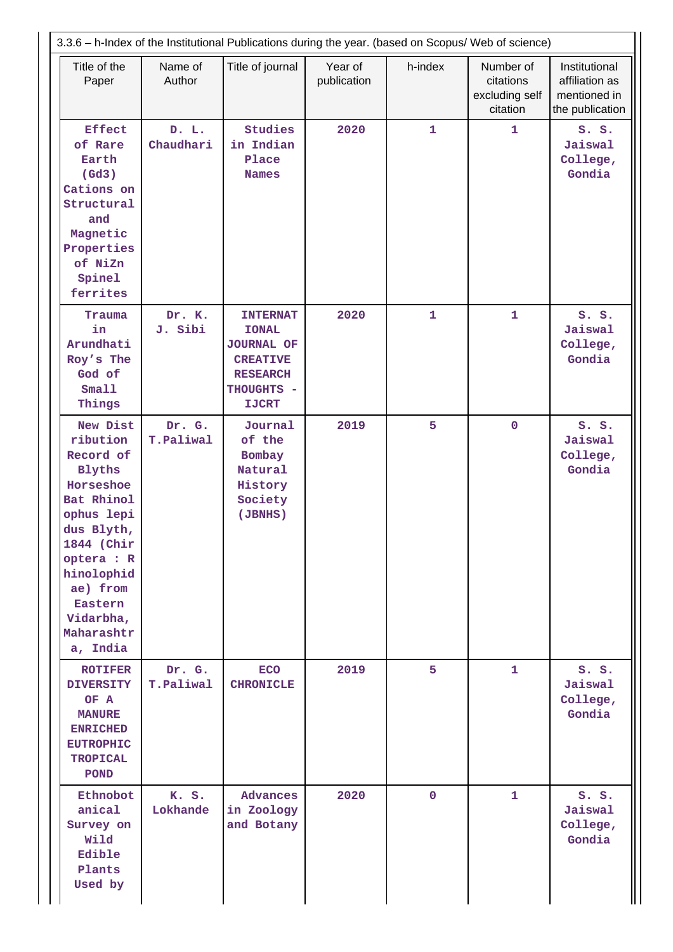|                                                                                                                                                                                                                   |                     | 3.3.6 - h-Index of the Institutional Publications during the year. (based on Scopus/ Web of science)                     |                        |                |                                                      |                                                                    |
|-------------------------------------------------------------------------------------------------------------------------------------------------------------------------------------------------------------------|---------------------|--------------------------------------------------------------------------------------------------------------------------|------------------------|----------------|------------------------------------------------------|--------------------------------------------------------------------|
| Title of the<br>Paper                                                                                                                                                                                             | Name of<br>Author   | Title of journal                                                                                                         | Year of<br>publication | h-index        | Number of<br>citations<br>excluding self<br>citation | Institutional<br>affiliation as<br>mentioned in<br>the publication |
| <b>Effect</b><br>of Rare<br>Earth<br>(Gd3)<br>Cations on<br>Structural<br>and<br>Magnetic<br>Properties<br>of NiZn<br>Spinel<br>ferrites                                                                          | D. L.<br>Chaudhari  | Studies<br>in Indian<br>Place<br><b>Names</b>                                                                            | 2020                   | $\mathbf{1}$   | $\mathbf{1}$                                         | S. S.<br>Jaiswal<br>College,<br>Gondia                             |
| Trauma<br>in<br>Arundhati<br>Roy's The<br>God of<br>Small<br>Things                                                                                                                                               | Dr. K.<br>J. Sibi   | <b>INTERNAT</b><br><b>IONAL</b><br><b>JOURNAL OF</b><br><b>CREATIVE</b><br><b>RESEARCH</b><br>THOUGHTS -<br><b>IJCRT</b> | 2020                   | $\mathbf{1}$   | $\mathbf{1}$                                         | S. S.<br>Jaiswal<br>College,<br>Gondia                             |
| New Dist<br>ribution<br>Record of<br><b>Blyths</b><br>Horseshoe<br>Bat Rhinol<br>ophus lepi<br>dus Blyth,<br>1844 (Chir<br>optera : R<br>hinolophid<br>ae) from<br>Eastern<br>Vidarbha,<br>Maharashtr<br>a, India | Dr. G.<br>T.Paliwal | Journal<br>of the<br>Bombay<br>Natural<br>History<br>Society<br>(JBNHS)                                                  | 2019                   | 5              | $\mathbf 0$                                          | S. S.<br>Jaiswal<br>College,<br>Gondia                             |
| <b>ROTIFER</b><br><b>DIVERSITY</b><br>OF A<br><b>MANURE</b><br><b>ENRICHED</b><br><b>EUTROPHIC</b><br><b>TROPICAL</b><br><b>POND</b>                                                                              | Dr. G.<br>T.Paliwal | <b>ECO</b><br><b>CHRONICLE</b>                                                                                           | 2019                   | 5 <sup>1</sup> | $\mathbf{1}$                                         | S. S.<br>Jaiswal<br>College,<br>Gondia                             |
| Ethnobot<br>anical<br>Survey on<br>Wild<br>Edible<br>Plants<br>Used by                                                                                                                                            | K. S.<br>Lokhande   | Advances<br>in Zoology<br>and Botany                                                                                     | 2020                   | $\mathbf{0}$   | $\mathbf{1}$                                         | S. S.<br>Jaiswal<br>College,<br>Gondia                             |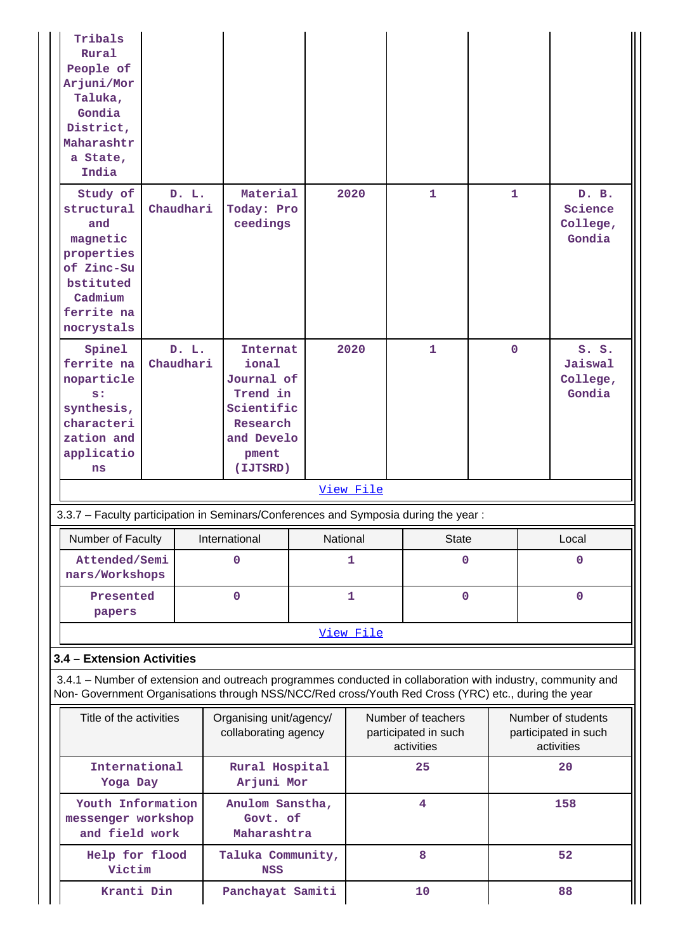| Tribals<br>Rural<br>People of<br>Arjuni/Mor<br>Taluka,<br>Gondia<br>District,<br>Maharashtr<br>a State,<br>India                                                                                                   |                                            |                                                                                                          |              |           |                                                          |              |              |                                                          |  |
|--------------------------------------------------------------------------------------------------------------------------------------------------------------------------------------------------------------------|--------------------------------------------|----------------------------------------------------------------------------------------------------------|--------------|-----------|----------------------------------------------------------|--------------|--------------|----------------------------------------------------------|--|
| Study of<br>structural<br>and<br>magnetic<br>properties<br>of Zinc-Su<br>bstituted<br>Cadmium<br>ferrite na<br>nocrystals                                                                                          | D. L.<br>Chaudhari                         | Material<br>Today: Pro<br>ceedings                                                                       |              | 2020      | 1                                                        | $\mathbf{1}$ |              | D. B.<br>Science<br>College,<br>Gondia                   |  |
| Spinel<br>ferrite na<br>noparticle<br>s:<br>synthesis,<br>characteri<br>zation and<br>applicatio<br>ns                                                                                                             | D. L.<br>Chaudhari                         | Internat<br>ional<br>Journal of<br>Trend in<br>Scientific<br>Research<br>and Develo<br>pment<br>(IJTSRD) |              | 2020      | $\mathbf{1}$                                             | $\mathbf{0}$ |              | S. S.<br>Jaiswal<br>College,<br>Gondia                   |  |
|                                                                                                                                                                                                                    |                                            |                                                                                                          |              | View File |                                                          |              |              |                                                          |  |
| 3.3.7 - Faculty participation in Seminars/Conferences and Symposia during the year:                                                                                                                                |                                            |                                                                                                          |              |           |                                                          |              |              |                                                          |  |
| Number of Faculty                                                                                                                                                                                                  |                                            | International                                                                                            |              | National  | <b>State</b>                                             |              |              | Local                                                    |  |
| Attended/Semi<br>nars/Workshops                                                                                                                                                                                    |                                            | 0                                                                                                        | 1            |           | $\mathbf 0$                                              |              | $\mathbf{0}$ |                                                          |  |
| Presented<br>papers                                                                                                                                                                                                |                                            | 0                                                                                                        | $\mathbf{1}$ |           | $\mathbf 0$                                              |              | $\mathbf 0$  |                                                          |  |
|                                                                                                                                                                                                                    |                                            |                                                                                                          |              | View File |                                                          |              |              |                                                          |  |
| 3.4 - Extension Activities                                                                                                                                                                                         |                                            |                                                                                                          |              |           |                                                          |              |              |                                                          |  |
| 3.4.1 – Number of extension and outreach programmes conducted in collaboration with industry, community and<br>Non- Government Organisations through NSS/NCC/Red cross/Youth Red Cross (YRC) etc., during the year |                                            |                                                                                                          |              |           |                                                          |              |              |                                                          |  |
| Title of the activities                                                                                                                                                                                            |                                            | Organising unit/agency/<br>collaborating agency                                                          |              |           | Number of teachers<br>participated in such<br>activities |              |              | Number of students<br>participated in such<br>activities |  |
| International<br>Yoga Day                                                                                                                                                                                          |                                            | Rural Hospital<br>Arjuni Mor                                                                             |              |           | 25                                                       |              |              | 20                                                       |  |
| Youth Information<br>messenger workshop<br>and field work                                                                                                                                                          | Anulom Sanstha,<br>Govt. of<br>Maharashtra |                                                                                                          |              |           | 4                                                        |              |              | 158                                                      |  |
| Help for flood<br>Victim                                                                                                                                                                                           |                                            | Taluka Community,<br><b>NSS</b>                                                                          |              |           | 8                                                        |              |              | 52                                                       |  |
| Kranti Din                                                                                                                                                                                                         |                                            | Panchayat Samiti                                                                                         |              |           | 10                                                       |              |              | 88                                                       |  |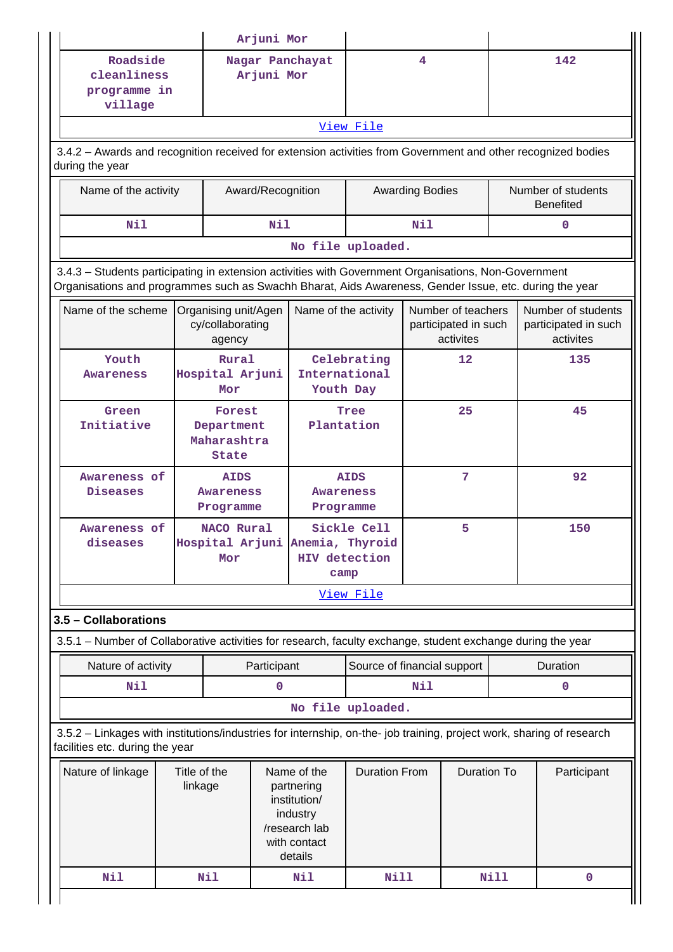|                                                                                                                                                                                                                |                                                    |                                              | Arjuni Mor                                                |                                                                                                   |                             |                                                         |                    |                                                         |                                        |  |
|----------------------------------------------------------------------------------------------------------------------------------------------------------------------------------------------------------------|----------------------------------------------------|----------------------------------------------|-----------------------------------------------------------|---------------------------------------------------------------------------------------------------|-----------------------------|---------------------------------------------------------|--------------------|---------------------------------------------------------|----------------------------------------|--|
| Roadside<br>cleanliness<br>programme in<br>village                                                                                                                                                             |                                                    |                                              | Arjuni Mor                                                | Nagar Panchayat                                                                                   |                             | 4                                                       |                    |                                                         | 142                                    |  |
|                                                                                                                                                                                                                |                                                    |                                              |                                                           |                                                                                                   | View File                   |                                                         |                    |                                                         |                                        |  |
| 3.4.2 - Awards and recognition received for extension activities from Government and other recognized bodies<br>during the year                                                                                |                                                    |                                              |                                                           |                                                                                                   |                             |                                                         |                    |                                                         |                                        |  |
| Name of the activity                                                                                                                                                                                           |                                                    |                                              | Award/Recognition                                         |                                                                                                   |                             | <b>Awarding Bodies</b>                                  |                    |                                                         | Number of students<br><b>Benefited</b> |  |
| Nil                                                                                                                                                                                                            |                                                    |                                              | N11<br>Nil                                                |                                                                                                   |                             |                                                         |                    |                                                         | 0                                      |  |
| No file uploaded.                                                                                                                                                                                              |                                                    |                                              |                                                           |                                                                                                   |                             |                                                         |                    |                                                         |                                        |  |
| 3.4.3 - Students participating in extension activities with Government Organisations, Non-Government<br>Organisations and programmes such as Swachh Bharat, Aids Awareness, Gender Issue, etc. during the year |                                                    |                                              |                                                           |                                                                                                   |                             |                                                         |                    |                                                         |                                        |  |
| Name of the scheme                                                                                                                                                                                             | Organising unit/Agen<br>cy/collaborating<br>agency |                                              | Name of the activity                                      |                                                                                                   |                             | Number of teachers<br>participated in such<br>activites |                    | Number of students<br>participated in such<br>activites |                                        |  |
| Youth<br>Awareness                                                                                                                                                                                             |                                                    | Rural<br>Hospital Arjuni<br>Mor              |                                                           | Celebrating<br>12<br>International<br>Youth Day                                                   |                             | 135                                                     |                    |                                                         |                                        |  |
| Green<br>Initiative                                                                                                                                                                                            |                                                    | State                                        | Forest<br>Tree<br>Plantation<br>Department<br>Maharashtra |                                                                                                   |                             | 25                                                      |                    |                                                         | 45                                     |  |
| Awareness of<br>Diseases                                                                                                                                                                                       |                                                    | <b>AIDS</b><br><b>Awareness</b><br>Programme | <b>AIDS</b><br><b>Awareness</b><br>Programme              |                                                                                                   |                             | 7                                                       |                    |                                                         | 92                                     |  |
| Awareness of<br>diseases                                                                                                                                                                                       |                                                    | NACO Rural<br>Mor                            |                                                           | Hospital Arjuni Anemia, Thyroid<br>HIV detection<br>camp                                          | Sickle Cell                 |                                                         | 5                  |                                                         | 150                                    |  |
|                                                                                                                                                                                                                |                                                    |                                              |                                                           |                                                                                                   | View File                   |                                                         |                    |                                                         |                                        |  |
| 3.5 - Collaborations                                                                                                                                                                                           |                                                    |                                              |                                                           |                                                                                                   |                             |                                                         |                    |                                                         |                                        |  |
| 3.5.1 – Number of Collaborative activities for research, faculty exchange, student exchange during the year                                                                                                    |                                                    |                                              |                                                           |                                                                                                   |                             |                                                         |                    |                                                         |                                        |  |
| Nature of activity                                                                                                                                                                                             |                                                    |                                              | Participant                                               |                                                                                                   | Source of financial support |                                                         |                    |                                                         | Duration                               |  |
| <b>Nil</b>                                                                                                                                                                                                     |                                                    |                                              | $\mathbf 0$                                               |                                                                                                   |                             | Nil                                                     |                    |                                                         | $\mathbf 0$                            |  |
|                                                                                                                                                                                                                |                                                    |                                              |                                                           |                                                                                                   | No file uploaded.           |                                                         |                    |                                                         |                                        |  |
| 3.5.2 - Linkages with institutions/industries for internship, on-the- job training, project work, sharing of research<br>facilities etc. during the year                                                       |                                                    |                                              |                                                           |                                                                                                   |                             |                                                         |                    |                                                         |                                        |  |
| Nature of linkage                                                                                                                                                                                              | Title of the<br>linkage                            |                                              |                                                           | Name of the<br>partnering<br>institution/<br>industry<br>/research lab<br>with contact<br>details | <b>Duration From</b>        |                                                         | <b>Duration To</b> |                                                         | Participant                            |  |
| <b>Nil</b>                                                                                                                                                                                                     |                                                    | Nil                                          |                                                           | Nil                                                                                               | <b>Nill</b>                 |                                                         |                    | Nill                                                    | $\mathbf 0$                            |  |
|                                                                                                                                                                                                                |                                                    |                                              |                                                           |                                                                                                   |                             |                                                         |                    |                                                         |                                        |  |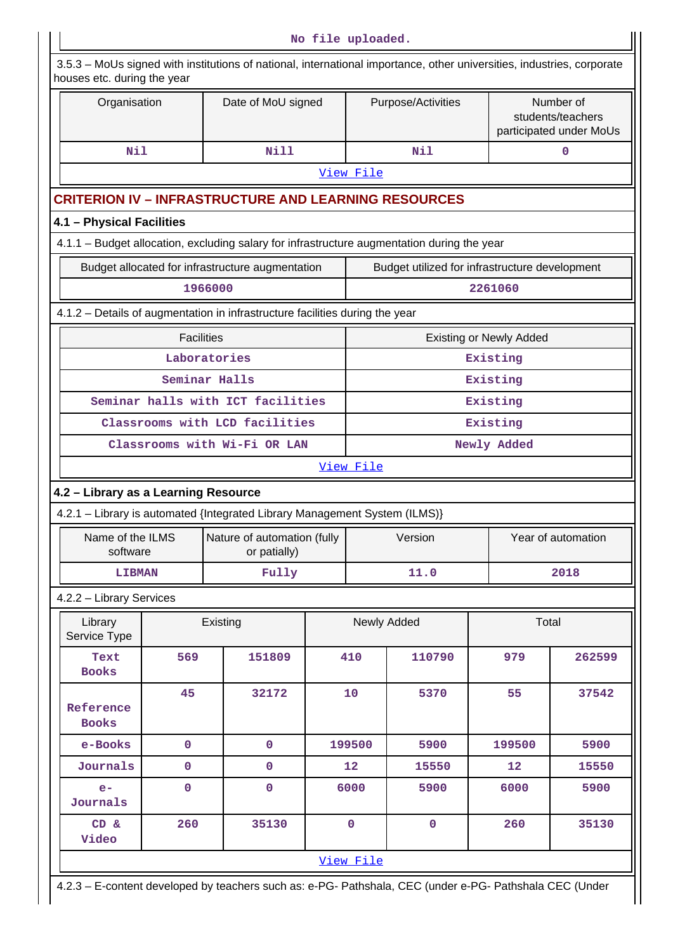|                                      |                                                                                                    |                                                                                                                        | No file uploaded. |             |                    |                                |                                                           |  |  |  |  |
|--------------------------------------|----------------------------------------------------------------------------------------------------|------------------------------------------------------------------------------------------------------------------------|-------------------|-------------|--------------------|--------------------------------|-----------------------------------------------------------|--|--|--|--|
| houses etc. during the year          |                                                                                                    | 3.5.3 - MoUs signed with institutions of national, international importance, other universities, industries, corporate |                   |             |                    |                                |                                                           |  |  |  |  |
| Organisation                         |                                                                                                    | Date of MoU signed                                                                                                     |                   |             | Purpose/Activities |                                | Number of<br>students/teachers<br>participated under MoUs |  |  |  |  |
| Nil                                  |                                                                                                    | <b>Nill</b>                                                                                                            |                   |             | Nil                | $\mathbf 0$                    |                                                           |  |  |  |  |
|                                      |                                                                                                    |                                                                                                                        |                   | View File   |                    |                                |                                                           |  |  |  |  |
|                                      |                                                                                                    | <b>CRITERION IV - INFRASTRUCTURE AND LEARNING RESOURCES</b>                                                            |                   |             |                    |                                |                                                           |  |  |  |  |
| 4.1 - Physical Facilities            |                                                                                                    |                                                                                                                        |                   |             |                    |                                |                                                           |  |  |  |  |
|                                      |                                                                                                    | 4.1.1 - Budget allocation, excluding salary for infrastructure augmentation during the year                            |                   |             |                    |                                |                                                           |  |  |  |  |
|                                      | Budget utilized for infrastructure development<br>Budget allocated for infrastructure augmentation |                                                                                                                        |                   |             |                    |                                |                                                           |  |  |  |  |
|                                      |                                                                                                    | 1966000                                                                                                                |                   |             |                    | 2261060                        |                                                           |  |  |  |  |
|                                      |                                                                                                    | 4.1.2 - Details of augmentation in infrastructure facilities during the year                                           |                   |             |                    |                                |                                                           |  |  |  |  |
|                                      | <b>Facilities</b>                                                                                  |                                                                                                                        |                   |             |                    | <b>Existing or Newly Added</b> |                                                           |  |  |  |  |
|                                      |                                                                                                    | Laboratories                                                                                                           |                   |             |                    | Existing                       |                                                           |  |  |  |  |
|                                      |                                                                                                    | Seminar Halls                                                                                                          |                   |             |                    | Existing                       |                                                           |  |  |  |  |
|                                      |                                                                                                    | Seminar halls with ICT facilities                                                                                      | Existing          |             |                    |                                |                                                           |  |  |  |  |
|                                      |                                                                                                    | Classrooms with LCD facilities                                                                                         |                   |             |                    | Existing                       |                                                           |  |  |  |  |
|                                      |                                                                                                    | Classrooms with Wi-Fi OR LAN                                                                                           |                   |             |                    | Newly Added                    |                                                           |  |  |  |  |
|                                      |                                                                                                    |                                                                                                                        |                   | View File   |                    |                                |                                                           |  |  |  |  |
| 4.2 - Library as a Learning Resource |                                                                                                    |                                                                                                                        |                   |             |                    |                                |                                                           |  |  |  |  |
|                                      |                                                                                                    | 4.2.1 - Library is automated {Integrated Library Management System (ILMS)}                                             |                   |             |                    |                                |                                                           |  |  |  |  |
| Name of the ILMS<br>software         |                                                                                                    | Nature of automation (fully<br>or patially)                                                                            |                   |             | Version            |                                | Year of automation                                        |  |  |  |  |
| <b>LIBMAN</b>                        |                                                                                                    | Fully                                                                                                                  |                   |             | 11.0               |                                | 2018                                                      |  |  |  |  |
| 4.2.2 - Library Services             |                                                                                                    |                                                                                                                        |                   |             |                    |                                |                                                           |  |  |  |  |
| Library<br>Service Type              |                                                                                                    | Existing                                                                                                               |                   |             | Newly Added        | Total                          |                                                           |  |  |  |  |
| Text<br><b>Books</b>                 | 569                                                                                                | 151809                                                                                                                 |                   | 410         | 110790             | 979                            | 262599                                                    |  |  |  |  |
| Reference<br><b>Books</b>            | 45                                                                                                 | 32172                                                                                                                  |                   | 10          | 5370               | 55                             | 37542                                                     |  |  |  |  |
| e-Books                              | $\mathbf 0$                                                                                        | $\pmb{0}$                                                                                                              |                   | 199500      | 5900               | 199500                         | 5900                                                      |  |  |  |  |
| Journals                             | $\overline{0}$                                                                                     | $\pmb{0}$                                                                                                              |                   | 12          | 15550              | 12                             | 15550                                                     |  |  |  |  |
| $e-$<br>Journals                     | $\mathbf 0$                                                                                        | $\mathbf 0$                                                                                                            |                   | 6000        | 5900               | 6000                           | 5900                                                      |  |  |  |  |
| CD &<br>Video                        | 260                                                                                                | 35130                                                                                                                  |                   | $\mathbf 0$ | $\mathbf 0$        | 260                            | 35130                                                     |  |  |  |  |
|                                      |                                                                                                    |                                                                                                                        |                   | View File   |                    |                                |                                                           |  |  |  |  |

4.2.3 – E-content developed by teachers such as: e-PG- Pathshala, CEC (under e-PG- Pathshala CEC (Under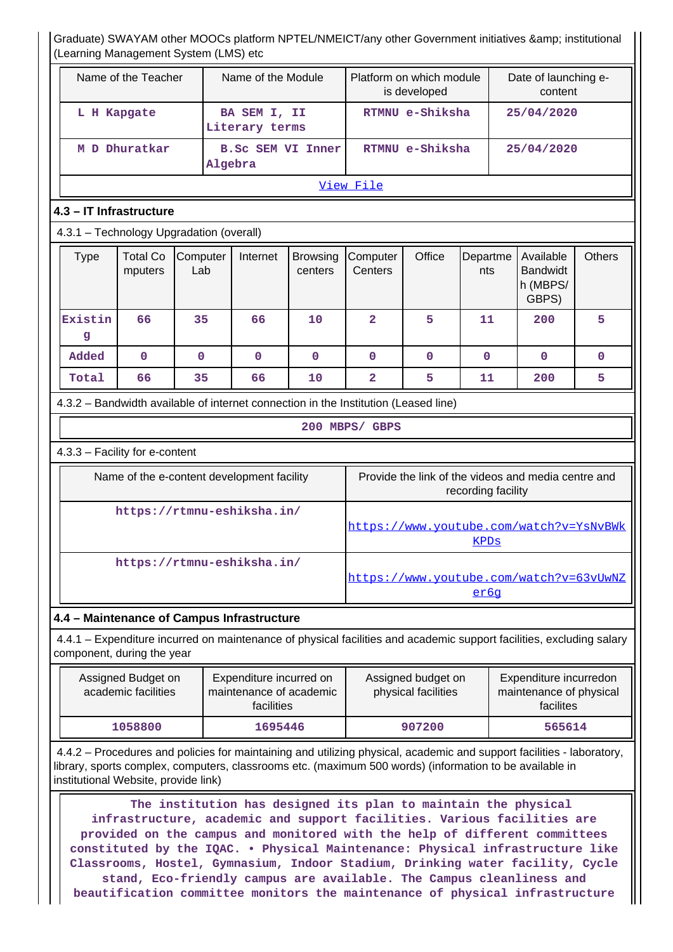# Graduate) SWAYAM other MOOCs platform NPTEL/NMEICT/any other Government initiatives & amp; institutional rning Management System (LMS) etc.

|                            | (Learning Management Oystem (Livio) etc              |                                               |                 |  |                                                    |                            |                                                                                     |                                           |                 |            |                                                                                                                      |               |
|----------------------------|------------------------------------------------------|-----------------------------------------------|-----------------|--|----------------------------------------------------|----------------------------|-------------------------------------------------------------------------------------|-------------------------------------------|-----------------|------------|----------------------------------------------------------------------------------------------------------------------|---------------|
|                            |                                                      | Name of the Teacher                           |                 |  | Name of the Module                                 |                            |                                                                                     | Platform on which module<br>is developed  |                 |            | Date of launching e-<br>content                                                                                      |               |
|                            |                                                      | BA SEM I, II<br>L H Kapgate<br>Literary terms |                 |  |                                                    | RTMNU e-Shiksha            |                                                                                     |                                           |                 | 25/04/2020 |                                                                                                                      |               |
|                            | M D Dhuratkar<br><b>B.SC SEM VI Inner</b><br>Algebra |                                               |                 |  |                                                    | RTMNU e-Shiksha            |                                                                                     |                                           | 25/04/2020      |            |                                                                                                                      |               |
|                            | View File                                            |                                               |                 |  |                                                    |                            |                                                                                     |                                           |                 |            |                                                                                                                      |               |
|                            | 4.3 - IT Infrastructure                              |                                               |                 |  |                                                    |                            |                                                                                     |                                           |                 |            |                                                                                                                      |               |
|                            | 4.3.1 - Technology Upgradation (overall)             |                                               |                 |  |                                                    |                            |                                                                                     |                                           |                 |            |                                                                                                                      |               |
|                            | <b>Type</b>                                          | <b>Total Co</b><br>mputers                    | Computer<br>Lab |  | Internet                                           | <b>Browsing</b><br>centers | Computer<br>Centers                                                                 | Office                                    | Departme<br>nts |            | Available<br><b>Bandwidt</b><br>h (MBPS/<br>GBPS)                                                                    | <b>Others</b> |
|                            | Existin<br>g                                         | 66                                            | 35              |  | 66                                                 | 10                         | $\overline{2}$                                                                      | 5                                         | 11              |            | 200                                                                                                                  | 5             |
|                            | Added                                                | $\mathbf 0$                                   | $\mathbf 0$     |  | $\mathbf 0$                                        | $\mathbf{0}$               | $\mathbf 0$                                                                         | 0                                         | $\mathbf{0}$    |            | 0                                                                                                                    | 0             |
|                            | Total                                                | 66                                            | 35              |  | 66                                                 | 10                         | $\overline{\mathbf{2}}$                                                             | 5                                         | 11              |            | 200                                                                                                                  | 5             |
|                            |                                                      |                                               |                 |  |                                                    |                            | 4.3.2 - Bandwidth available of internet connection in the Institution (Leased line) |                                           |                 |            |                                                                                                                      |               |
|                            |                                                      |                                               |                 |  |                                                    |                            | 200 MBPS/ GBPS                                                                      |                                           |                 |            |                                                                                                                      |               |
|                            | 4.3.3 - Facility for e-content                       |                                               |                 |  |                                                    |                            |                                                                                     |                                           |                 |            |                                                                                                                      |               |
|                            |                                                      |                                               |                 |  | Name of the e-content development facility         |                            | Provide the link of the videos and media centre and<br>recording facility           |                                           |                 |            |                                                                                                                      |               |
|                            |                                                      |                                               |                 |  | https://rtmnu-eshiksha.in/                         |                            |                                                                                     |                                           | <b>KPDs</b>     |            | https://www.youtube.com/watch?v=YsNvBWk                                                                              |               |
| https://rtmnu-eshiksha.in/ |                                                      |                                               |                 |  |                                                    |                            |                                                                                     |                                           | er6q            |            | https://www.youtube.com/watch?v=63vUwNZ                                                                              |               |
|                            | 4.4 - Maintenance of Campus Infrastructure           |                                               |                 |  |                                                    |                            |                                                                                     |                                           |                 |            |                                                                                                                      |               |
|                            | component, during the year                           |                                               |                 |  |                                                    |                            |                                                                                     |                                           |                 |            | 4.4.1 – Expenditure incurred on maintenance of physical facilities and academic support facilities, excluding salary |               |
|                            |                                                      | Assigned Budget on<br>academic facilities     |                 |  | Expenditure incurred on<br>maintenance of academic |                            |                                                                                     | Assigned budget on<br>physical facilities |                 |            | Expenditure incurredon<br>maintenance of physical                                                                    |               |

 4.4.2 – Procedures and policies for maintaining and utilizing physical, academic and support facilities - laboratory, library, sports complex, computers, classrooms etc. (maximum 500 words) (information to be available in institutional Website, provide link)

 **1058800 1695446 907200 565614**

facilites

facilities

 **The institution has designed its plan to maintain the physical infrastructure, academic and support facilities. Various facilities are provided on the campus and monitored with the help of different committees constituted by the IQAC. • Physical Maintenance: Physical infrastructure like Classrooms, Hostel, Gymnasium, Indoor Stadium, Drinking water facility, Cycle stand, Eco-friendly campus are available. The Campus cleanliness and beautification committee monitors the maintenance of physical infrastructure**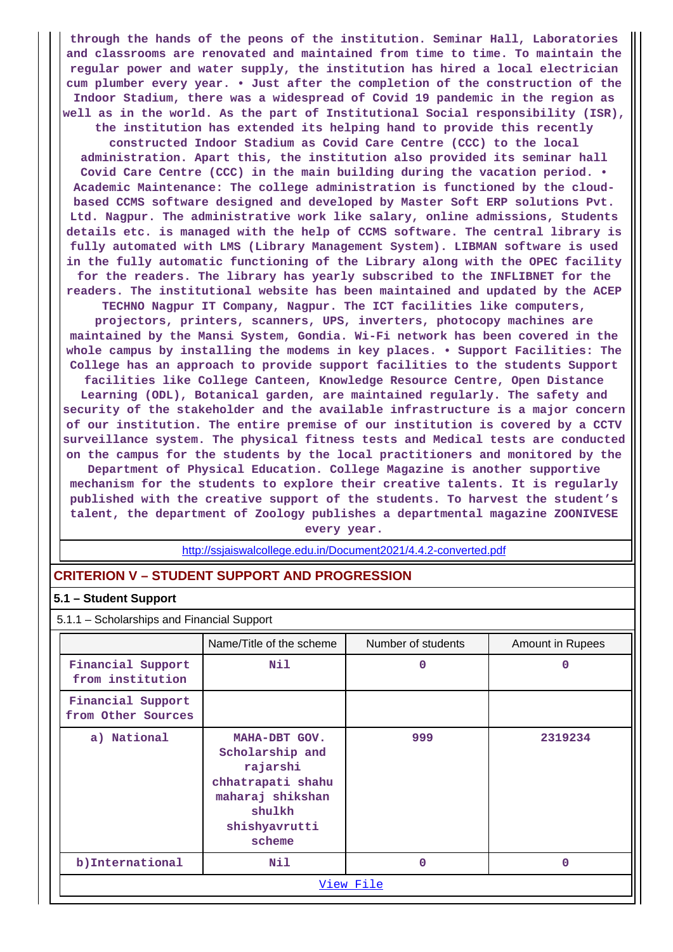**through the hands of the peons of the institution. Seminar Hall, Laboratories and classrooms are renovated and maintained from time to time. To maintain the regular power and water supply, the institution has hired a local electrician cum plumber every year. • Just after the completion of the construction of the Indoor Stadium, there was a widespread of Covid 19 pandemic in the region as well as in the world. As the part of Institutional Social responsibility (ISR), the institution has extended its helping hand to provide this recently constructed Indoor Stadium as Covid Care Centre (CCC) to the local administration. Apart this, the institution also provided its seminar hall Covid Care Centre (CCC) in the main building during the vacation period. • Academic Maintenance: The college administration is functioned by the cloudbased CCMS software designed and developed by Master Soft ERP solutions Pvt. Ltd. Nagpur. The administrative work like salary, online admissions, Students details etc. is managed with the help of CCMS software. The central library is fully automated with LMS (Library Management System). LIBMAN software is used in the fully automatic functioning of the Library along with the OPEC facility for the readers. The library has yearly subscribed to the INFLIBNET for the readers. The institutional website has been maintained and updated by the ACEP TECHNO Nagpur IT Company, Nagpur. The ICT facilities like computers, projectors, printers, scanners, UPS, inverters, photocopy machines are maintained by the Mansi System, Gondia. Wi-Fi network has been covered in the whole campus by installing the modems in key places. • Support Facilities: The College has an approach to provide support facilities to the students Support**

**facilities like College Canteen, Knowledge Resource Centre, Open Distance Learning (ODL), Botanical garden, are maintained regularly. The safety and security of the stakeholder and the available infrastructure is a major concern of our institution. The entire premise of our institution is covered by a CCTV surveillance system. The physical fitness tests and Medical tests are conducted on the campus for the students by the local practitioners and monitored by the Department of Physical Education. College Magazine is another supportive mechanism for the students to explore their creative talents. It is regularly published with the creative support of the students. To harvest the student's**

**talent, the department of Zoology publishes a departmental magazine ZOONIVESE every year.**

<http://ssjaiswalcollege.edu.in/Document2021/4.4.2-converted.pdf>

# **CRITERION V – STUDENT SUPPORT AND PROGRESSION**

## **5.1 – Student Support**

5.1.1 – Scholarships and Financial Support

|                                         | Name/Title of the scheme                                                                                                   | Number of students | Amount in Rupees |  |
|-----------------------------------------|----------------------------------------------------------------------------------------------------------------------------|--------------------|------------------|--|
| Financial Support<br>from institution   | Nil                                                                                                                        | $\Omega$           | $\Omega$         |  |
| Financial Support<br>from Other Sources |                                                                                                                            |                    |                  |  |
| a) National                             | MAHA-DBT GOV.<br>Scholarship and<br>rajarshi<br>chhatrapati shahu<br>maharaj shikshan<br>shulkh<br>shishyavrutti<br>scheme | 999                | 2319234          |  |
| b) International                        | Nil                                                                                                                        | 0                  | $\Omega$         |  |
|                                         |                                                                                                                            | View File          |                  |  |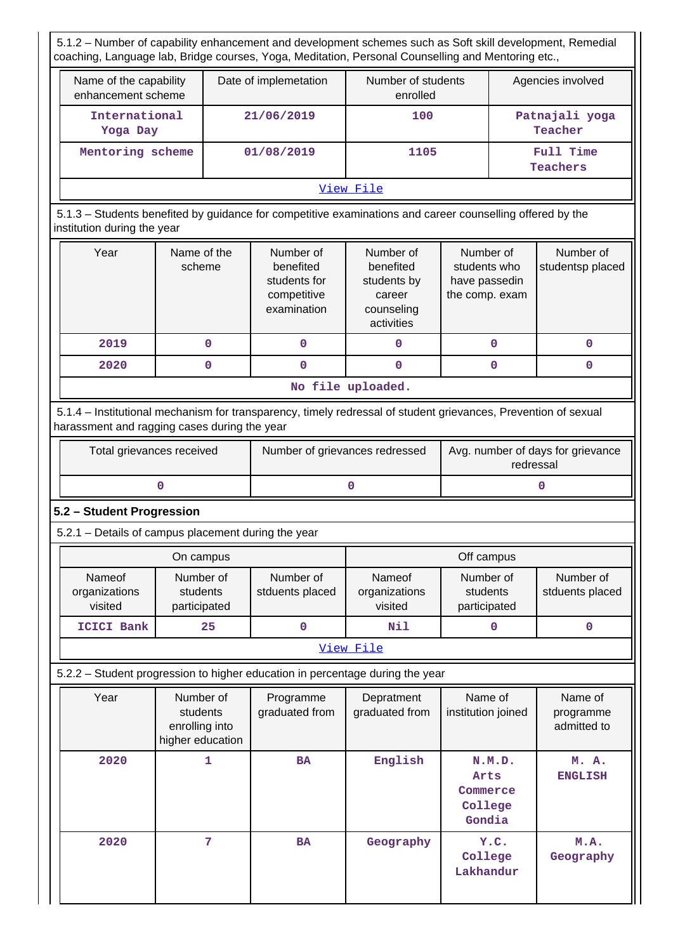5.1.2 – Number of capability enhancement and development schemes such as Soft skill development, Remedial coaching, Language lab, Bridge courses, Yoga, Meditation, Personal Counselling and Mentoring etc.,

| Name of the capability<br>enhancement scheme | Date of implemetation | Number of students<br>enrolled | Agencies involved         |  |  |  |  |  |
|----------------------------------------------|-----------------------|--------------------------------|---------------------------|--|--|--|--|--|
| International<br>Yoga Day                    | 21/06/2019            | 100                            | Patnajali yoga<br>Teacher |  |  |  |  |  |
| Mentoring scheme                             | 01/08/2019            | 1105                           | Full Time<br>Teachers     |  |  |  |  |  |
| View File                                    |                       |                                |                           |  |  |  |  |  |

# 5.1.3 – Students benefited by guidance for competitive examinations and career counselling offered by the institution during the year

| Year | Name of the<br>scheme | Number of<br>benefited<br>students for<br>competitive<br>examination | Number of<br>benefited<br>students by<br>career<br>counseling<br>activities | Number of<br>students who<br>have passedin<br>the comp. exam | Number of<br>studentsp placed |
|------|-----------------------|----------------------------------------------------------------------|-----------------------------------------------------------------------------|--------------------------------------------------------------|-------------------------------|
| 2019 | O                     |                                                                      | 0                                                                           |                                                              |                               |
| 2020 | O                     |                                                                      |                                                                             |                                                              |                               |

## **No file uploaded.**

 5.1.4 – Institutional mechanism for transparency, timely redressal of student grievances, Prevention of sexual harassment and ragging cases during the year

| Total grievances received | Number of grievances redressed | Avg. number of days for grievance<br>redressal |
|---------------------------|--------------------------------|------------------------------------------------|
|                           |                                |                                                |

# **5.2 – Student Progression**

5.2.1 – Details of campus placement during the year

| On campus                          |                                       |                              | Off campus                         |                                       |                              |  |
|------------------------------------|---------------------------------------|------------------------------|------------------------------------|---------------------------------------|------------------------------|--|
| Nameof<br>organizations<br>visited | Number of<br>students<br>participated | Number of<br>stduents placed | Nameof<br>organizations<br>visited | Number of<br>students<br>participated | Number of<br>stduents placed |  |
| ICICI Bank                         | 25                                    | 0                            | Nil                                | 0                                     |                              |  |
| View File                          |                                       |                              |                                    |                                       |                              |  |

| 5.2.2 – Student progression to higher education in percentage during the year |                                                             |                             |                              |                                                 |                                     |  |
|-------------------------------------------------------------------------------|-------------------------------------------------------------|-----------------------------|------------------------------|-------------------------------------------------|-------------------------------------|--|
| Year                                                                          | Number of<br>students<br>enrolling into<br>higher education | Programme<br>graduated from | Depratment<br>graduated from | Name of<br>institution joined                   | Name of<br>programme<br>admitted to |  |
| 2020                                                                          |                                                             | <b>BA</b>                   | English                      | N.M.D.<br>Arts<br>Commerce<br>College<br>Gondia | M. A.<br><b>ENGLISH</b>             |  |
| 2020                                                                          | 7                                                           | <b>BA</b>                   | Geography                    | Y.C.<br>College<br>Lakhandur                    | M.A.<br>Geography                   |  |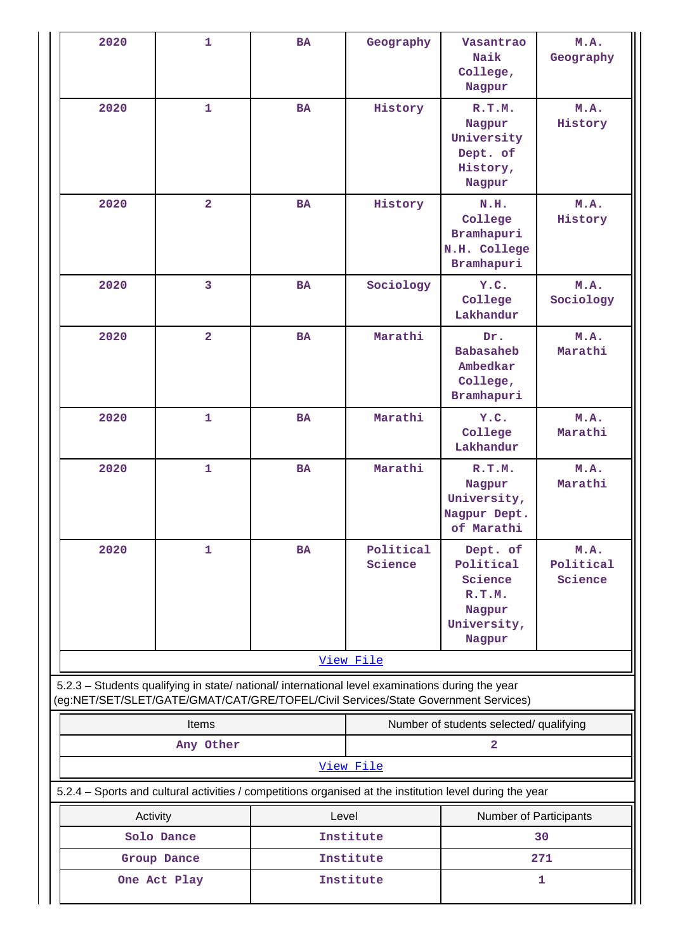| 2020                                                                                                                                                                                   | $\mathbf{1}$            | <b>BA</b> | Geography                               | Vasantrao<br>Naik<br>College,<br>Nagpur                                                                  | M.A.<br>Geography            |  |
|----------------------------------------------------------------------------------------------------------------------------------------------------------------------------------------|-------------------------|-----------|-----------------------------------------|----------------------------------------------------------------------------------------------------------|------------------------------|--|
| 2020                                                                                                                                                                                   | $\mathbf{1}$            | <b>BA</b> | History                                 | R.T.M.<br>Nagpur<br>University<br>Dept. of<br>History,<br>Nagpur                                         | M.A.<br>History              |  |
| 2020                                                                                                                                                                                   | $\overline{\mathbf{2}}$ | <b>BA</b> | History                                 | N.H.<br>College<br>Bramhapuri<br>N.H. College<br>Bramhapuri                                              | M.A.<br>History              |  |
| 2020                                                                                                                                                                                   | 3                       | <b>BA</b> | Sociology                               | Y.C.<br>College<br>Lakhandur                                                                             | M.A.<br>Sociology            |  |
| 2020                                                                                                                                                                                   | $\overline{2}$          | <b>BA</b> | Marathi                                 | Dr.<br><b>Babasaheb</b><br>Ambedkar<br>College,<br>Bramhapuri                                            | M.A.<br>Marathi              |  |
| 2020                                                                                                                                                                                   | $\mathbf{1}$            | <b>BA</b> | Marathi                                 | Y.C.<br>College<br>Lakhandur                                                                             | M.A.<br>Marathi              |  |
| 2020                                                                                                                                                                                   | $\mathbf{1}$            | <b>BA</b> | Marathi                                 | R.T.M.<br>Nagpur<br>University,<br>Nagpur Dept.<br>of Marathi                                            | M.A.<br>Marathi              |  |
| 2020                                                                                                                                                                                   | 1                       | BA        | Political<br>Science                    | Dept. of<br>Political<br>Science<br>R.T.M.<br>Nagpur<br>University,<br>Nagpur                            | M.A.<br>Political<br>Science |  |
|                                                                                                                                                                                        |                         |           | View File                               |                                                                                                          |                              |  |
| 5.2.3 - Students qualifying in state/ national/ international level examinations during the year<br>(eg:NET/SET/SLET/GATE/GMAT/CAT/GRE/TOFEL/Civil Services/State Government Services) |                         |           |                                         |                                                                                                          |                              |  |
|                                                                                                                                                                                        | Items                   |           | Number of students selected/ qualifying |                                                                                                          |                              |  |
|                                                                                                                                                                                        | Any Other               |           | View File                               | 2                                                                                                        |                              |  |
|                                                                                                                                                                                        |                         |           |                                         | 5.2.4 - Sports and cultural activities / competitions organised at the institution level during the year |                              |  |
| Activity                                                                                                                                                                               |                         | Level     |                                         | Number of Participants                                                                                   |                              |  |
|                                                                                                                                                                                        | Solo Dance              |           | Institute                               |                                                                                                          | 30                           |  |
|                                                                                                                                                                                        | Group Dance             |           | Institute                               |                                                                                                          | 271                          |  |
|                                                                                                                                                                                        | One Act Play            |           | Institute                               |                                                                                                          | 1                            |  |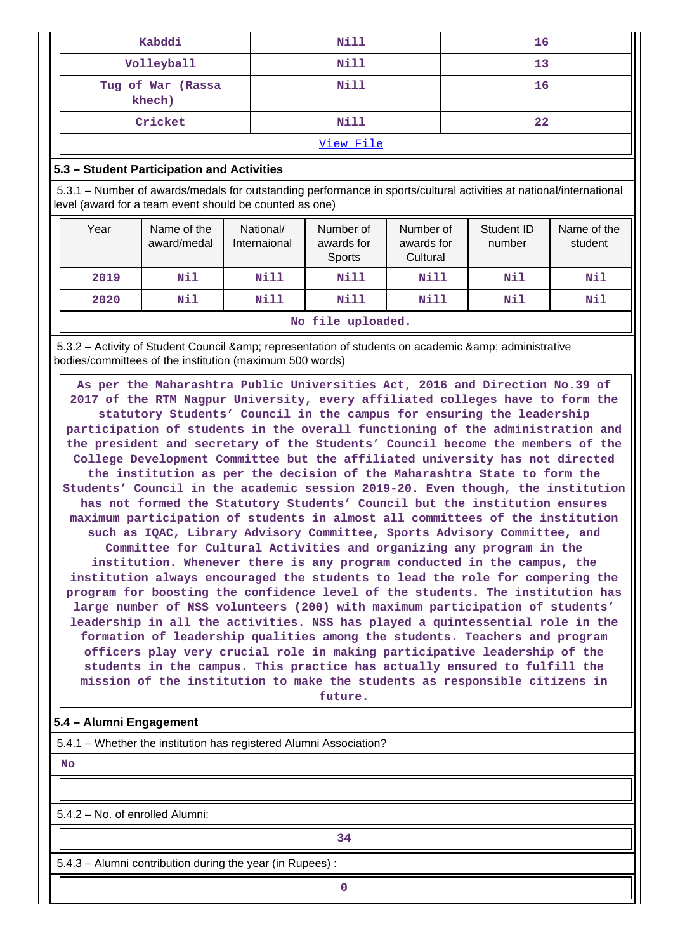| Kabddi                      | Nill        | 16 |  |  |
|-----------------------------|-------------|----|--|--|
| Volleyball                  | Nill        | 13 |  |  |
| Tug of War (Rassa<br>khech) | Nill        | 16 |  |  |
| Cricket                     | <b>Nill</b> | 22 |  |  |
|                             |             |    |  |  |

#### [View File](https://assessmentonline.naac.gov.in/public/Postacc/Activities_Organised/7102_Activities_Organised_1638165068.xlsx)

## **5.3 – Student Participation and Activities**

 5.3.1 – Number of awards/medals for outstanding performance in sports/cultural activities at national/international level (award for a team event should be counted as one)

| Year                                       | Name of the<br>award/medal | National/<br>Internaional | Number of<br>awards for<br>Sports | Number of<br>awards for<br>Cultural | Student ID<br>number | Name of the<br>student |
|--------------------------------------------|----------------------------|---------------------------|-----------------------------------|-------------------------------------|----------------------|------------------------|
| 2019                                       | Nil                        | Nill                      | Nill                              | Nill                                | Nil                  | Nil                    |
| Nil<br>Nill<br>Nill<br>Nill<br>2020<br>Nil |                            |                           |                                   |                                     |                      | Nil                    |
|                                            | No file uploaded.          |                           |                                   |                                     |                      |                        |

5.3.2 – Activity of Student Council & amp: representation of students on academic & amp: administrative bodies/committees of the institution (maximum 500 words)

 **As per the Maharashtra Public Universities Act, 2016 and Direction No.39 of 2017 of the RTM Nagpur University, every affiliated colleges have to form the statutory Students' Council in the campus for ensuring the leadership participation of students in the overall functioning of the administration and the president and secretary of the Students' Council become the members of the College Development Committee but the affiliated university has not directed the institution as per the decision of the Maharashtra State to form the Students' Council in the academic session 2019-20. Even though, the institution has not formed the Statutory Students' Council but the institution ensures maximum participation of students in almost all committees of the institution such as IQAC, Library Advisory Committee, Sports Advisory Committee, and Committee for Cultural Activities and organizing any program in the institution. Whenever there is any program conducted in the campus, the institution always encouraged the students to lead the role for compering the program for boosting the confidence level of the students. The institution has large number of NSS volunteers (200) with maximum participation of students' leadership in all the activities. NSS has played a quintessential role in the formation of leadership qualities among the students. Teachers and program officers play very crucial role in making participative leadership of the students in the campus. This practice has actually ensured to fulfill the mission of the institution to make the students as responsible citizens in future.**

## **5.4 – Alumni Engagement**

5.4.1 – Whether the institution has registered Alumni Association?

 **No**

5.4.2 – No. of enrolled Alumni:

**1 34** 

5.4.3 – Alumni contribution during the year (in Rupees) :

**0**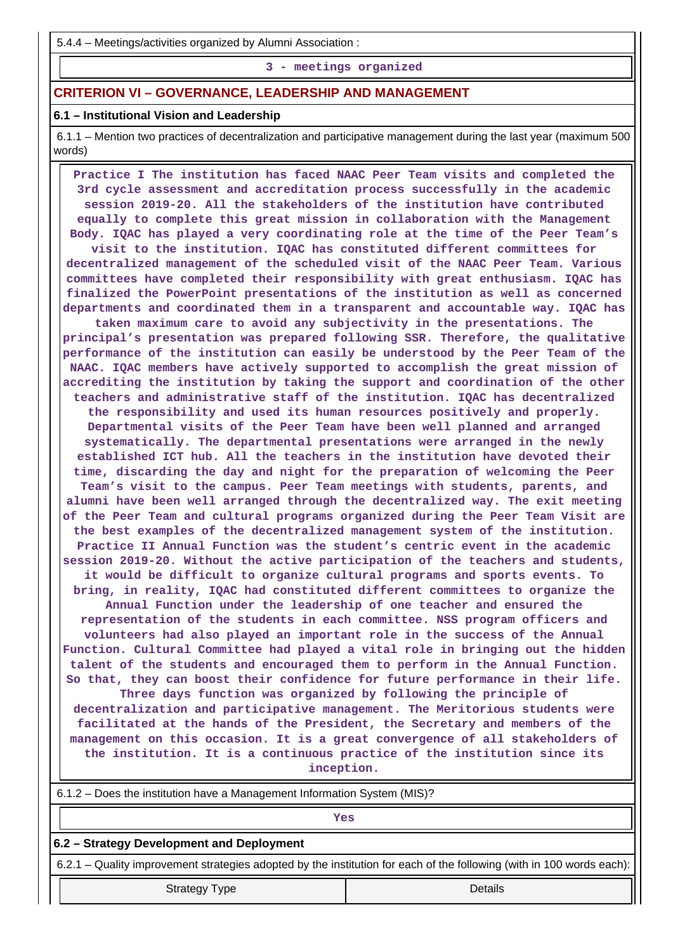5.4.4 – Meetings/activities organized by Alumni Association :

**3 - meetings organized**

## **CRITERION VI – GOVERNANCE, LEADERSHIP AND MANAGEMENT**

#### **6.1 – Institutional Vision and Leadership**

 6.1.1 – Mention two practices of decentralization and participative management during the last year (maximum 500 words)

 **Practice I The institution has faced NAAC Peer Team visits and completed the 3rd cycle assessment and accreditation process successfully in the academic session 2019-20. All the stakeholders of the institution have contributed equally to complete this great mission in collaboration with the Management Body. IQAC has played a very coordinating role at the time of the Peer Team's visit to the institution. IQAC has constituted different committees for decentralized management of the scheduled visit of the NAAC Peer Team. Various committees have completed their responsibility with great enthusiasm. IQAC has finalized the PowerPoint presentations of the institution as well as concerned departments and coordinated them in a transparent and accountable way. IQAC has taken maximum care to avoid any subjectivity in the presentations. The principal's presentation was prepared following SSR. Therefore, the qualitative performance of the institution can easily be understood by the Peer Team of the NAAC. IQAC members have actively supported to accomplish the great mission of accrediting the institution by taking the support and coordination of the other teachers and administrative staff of the institution. IQAC has decentralized the responsibility and used its human resources positively and properly. Departmental visits of the Peer Team have been well planned and arranged systematically. The departmental presentations were arranged in the newly established ICT hub. All the teachers in the institution have devoted their time, discarding the day and night for the preparation of welcoming the Peer Team's visit to the campus. Peer Team meetings with students, parents, and alumni have been well arranged through the decentralized way. The exit meeting of the Peer Team and cultural programs organized during the Peer Team Visit are the best examples of the decentralized management system of the institution. Practice II Annual Function was the student's centric event in the academic session 2019-20. Without the active participation of the teachers and students, it would be difficult to organize cultural programs and sports events. To bring, in reality, IQAC had constituted different committees to organize the Annual Function under the leadership of one teacher and ensured the representation of the students in each committee. NSS program officers and volunteers had also played an important role in the success of the Annual Function. Cultural Committee had played a vital role in bringing out the hidden talent of the students and encouraged them to perform in the Annual Function. So that, they can boost their confidence for future performance in their life. Three days function was organized by following the principle of decentralization and participative management. The Meritorious students were facilitated at the hands of the President, the Secretary and members of the management on this occasion. It is a great convergence of all stakeholders of the institution. It is a continuous practice of the institution since its**

**inception.**

| 6.1.2 – Does the institution have a Management Information System (MIS)?                                              |  |  |  |  |
|-----------------------------------------------------------------------------------------------------------------------|--|--|--|--|
| Yes                                                                                                                   |  |  |  |  |
| 6.2 – Strategy Development and Deployment                                                                             |  |  |  |  |
| 6.2.1 – Quality improvement strategies adopted by the institution for each of the following (with in 100 words each): |  |  |  |  |
| Details<br><b>Strategy Type</b>                                                                                       |  |  |  |  |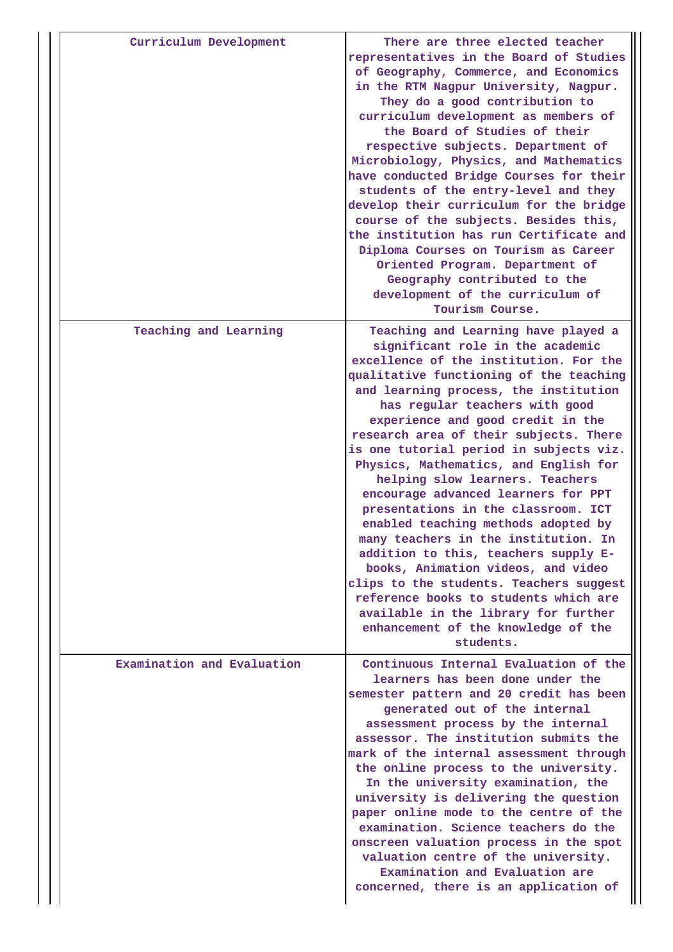| Curriculum Development     | There are three elected teacher<br>representatives in the Board of Studies<br>of Geography, Commerce, and Economics<br>in the RTM Nagpur University, Nagpur.<br>They do a good contribution to<br>curriculum development as members of<br>the Board of Studies of their<br>respective subjects. Department of<br>Microbiology, Physics, and Mathematics<br>have conducted Bridge Courses for their<br>students of the entry-level and they<br>develop their curriculum for the bridge<br>course of the subjects. Besides this,<br>the institution has run Certificate and<br>Diploma Courses on Tourism as Career<br>Oriented Program. Department of<br>Geography contributed to the<br>development of the curriculum of<br>Tourism Course.                                                                                                                              |
|----------------------------|--------------------------------------------------------------------------------------------------------------------------------------------------------------------------------------------------------------------------------------------------------------------------------------------------------------------------------------------------------------------------------------------------------------------------------------------------------------------------------------------------------------------------------------------------------------------------------------------------------------------------------------------------------------------------------------------------------------------------------------------------------------------------------------------------------------------------------------------------------------------------|
| Teaching and Learning      | Teaching and Learning have played a<br>significant role in the academic<br>excellence of the institution. For the<br>qualitative functioning of the teaching<br>and learning process, the institution<br>has regular teachers with good<br>experience and good credit in the<br>research area of their subjects. There<br>is one tutorial period in subjects viz.<br>Physics, Mathematics, and English for<br>helping slow learners. Teachers<br>encourage advanced learners for PPT<br>presentations in the classroom. ICT<br>enabled teaching methods adopted by<br>many teachers in the institution. In<br>addition to this, teachers supply E-<br>books, Animation videos, and video<br>clips to the students. Teachers suggest<br>reference books to students which are<br>available in the library for further<br>enhancement of the knowledge of the<br>students. |
| Examination and Evaluation | Continuous Internal Evaluation of the<br>learners has been done under the<br>semester pattern and 20 credit has been<br>generated out of the internal<br>assessment process by the internal<br>assessor. The institution submits the<br>mark of the internal assessment through<br>the online process to the university.<br>In the university examination, the<br>university is delivering the question<br>paper online mode to the centre of the<br>examination. Science teachers do the<br>onscreen valuation process in the spot<br>valuation centre of the university.<br>Examination and Evaluation are<br>concerned, there is an application of                                                                                                                                                                                                                    |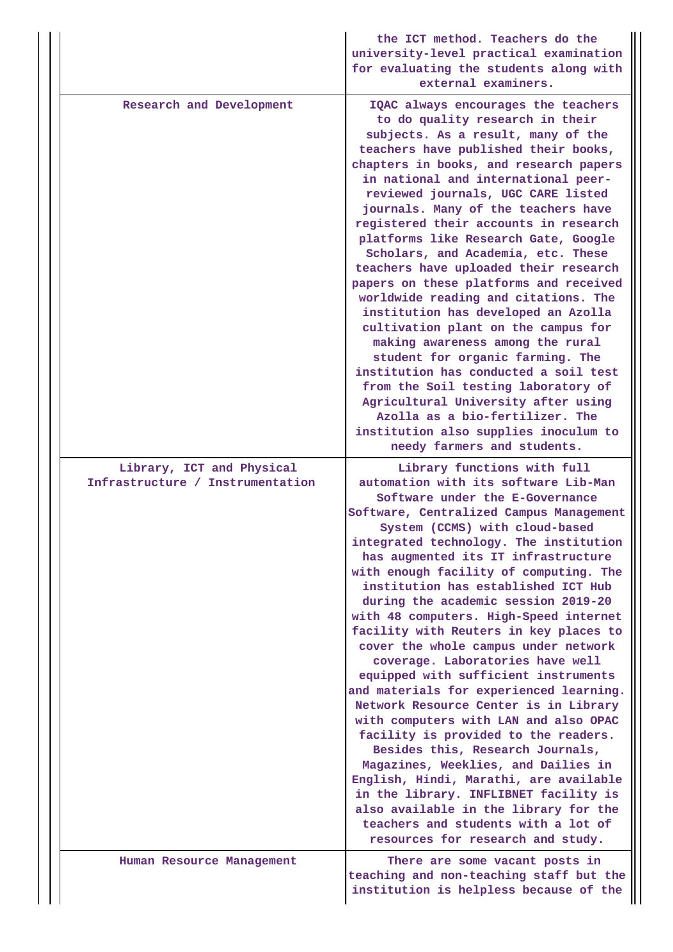|                                                               | the ICT method. Teachers do the<br>university-level practical examination<br>for evaluating the students along with<br>external examiners.                                                                                                                                                                                                                                                                                                                                                                                                                                                                                                                                                                                                                                                                                                                                                                                                                   |
|---------------------------------------------------------------|--------------------------------------------------------------------------------------------------------------------------------------------------------------------------------------------------------------------------------------------------------------------------------------------------------------------------------------------------------------------------------------------------------------------------------------------------------------------------------------------------------------------------------------------------------------------------------------------------------------------------------------------------------------------------------------------------------------------------------------------------------------------------------------------------------------------------------------------------------------------------------------------------------------------------------------------------------------|
| Research and Development                                      | IQAC always encourages the teachers<br>to do quality research in their<br>subjects. As a result, many of the<br>teachers have published their books,<br>chapters in books, and research papers<br>in national and international peer-<br>reviewed journals, UGC CARE listed<br>journals. Many of the teachers have<br>registered their accounts in research<br>platforms like Research Gate, Google<br>Scholars, and Academia, etc. These<br>teachers have uploaded their research<br>papers on these platforms and received<br>worldwide reading and citations. The<br>institution has developed an Azolla<br>cultivation plant on the campus for<br>making awareness among the rural<br>student for organic farming. The<br>institution has conducted a soil test<br>from the Soil testing laboratory of<br>Agricultural University after using<br>Azolla as a bio-fertilizer. The<br>institution also supplies inoculum to<br>needy farmers and students. |
| Library, ICT and Physical<br>Infrastructure / Instrumentation | Library functions with full<br>automation with its software Lib-Man<br>Software under the E-Governance<br>Software, Centralized Campus Management<br>System (CCMS) with cloud-based<br>integrated technology. The institution<br>has augmented its IT infrastructure<br>with enough facility of computing. The                                                                                                                                                                                                                                                                                                                                                                                                                                                                                                                                                                                                                                               |
|                                                               | institution has established ICT Hub<br>during the academic session 2019-20<br>with 48 computers. High-Speed internet<br>facility with Reuters in key places to<br>cover the whole campus under network<br>coverage. Laboratories have well<br>equipped with sufficient instruments<br>and materials for experienced learning.                                                                                                                                                                                                                                                                                                                                                                                                                                                                                                                                                                                                                                |
|                                                               | Network Resource Center is in Library<br>with computers with LAN and also OPAC<br>facility is provided to the readers.<br>Besides this, Research Journals,<br>Magazines, Weeklies, and Dailies in<br>English, Hindi, Marathi, are available<br>in the library. INFLIBNET facility is<br>also available in the library for the<br>teachers and students with a lot of<br>resources for research and study.                                                                                                                                                                                                                                                                                                                                                                                                                                                                                                                                                    |
| Human Resource Management                                     | There are some vacant posts in<br>teaching and non-teaching staff but the<br>institution is helpless because of the                                                                                                                                                                                                                                                                                                                                                                                                                                                                                                                                                                                                                                                                                                                                                                                                                                          |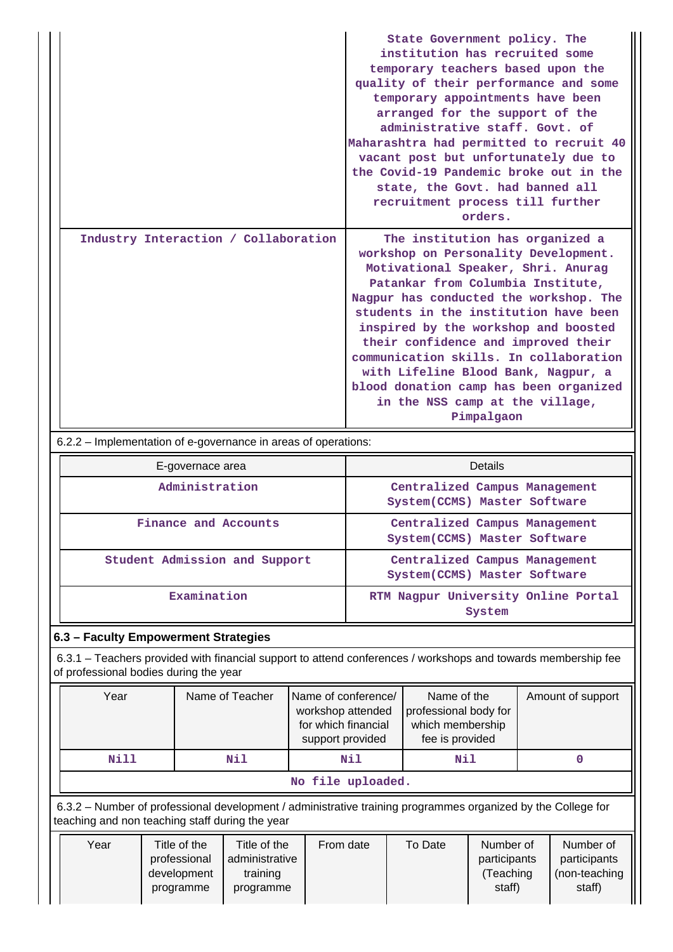|                                      | State Government policy. The<br>institution has recruited some<br>temporary teachers based upon the<br>quality of their performance and some<br>temporary appointments have been<br>arranged for the support of the<br>administrative staff. Govt. of<br>Maharashtra had permitted to recruit 40<br>vacant post but unfortunately due to<br>the Covid-19 Pandemic broke out in the<br>state, the Govt. had banned all<br>recruitment process till further<br>orders.                             |
|--------------------------------------|--------------------------------------------------------------------------------------------------------------------------------------------------------------------------------------------------------------------------------------------------------------------------------------------------------------------------------------------------------------------------------------------------------------------------------------------------------------------------------------------------|
| Industry Interaction / Collaboration | The institution has organized a<br>workshop on Personality Development.<br>Motivational Speaker, Shri. Anurag<br>Patankar from Columbia Institute,<br>Nagpur has conducted the workshop. The<br>students in the institution have been<br>inspired by the workshop and boosted<br>their confidence and improved their<br>communication skills. In collaboration<br>with Lifeline Blood Bank, Nagpur, a<br>blood donation camp has been organized<br>in the NSS camp at the village,<br>Pimpalgaon |

6.2.2 – Implementation of e-governance in areas of operations:

| E-governace area              | <b>Details</b>                                                 |
|-------------------------------|----------------------------------------------------------------|
| Administration                | Centralized Campus Management<br>System (CCMS) Master Software |
| Finance and Accounts          | Centralized Campus Management<br>System(CCMS) Master Software  |
| Student Admission and Support | Centralized Campus Management<br>System (CCMS) Master Software |
| Examination                   | RTM Nagpur University Online Portal<br>System                  |

# **6.3 – Faculty Empowerment Strategies**

 6.3.1 – Teachers provided with financial support to attend conferences / workshops and towards membership fee of professional bodies during the year

| Year              | Name of Teacher<br>Name of conference/<br>Amount of support<br>Name of the<br>professional body for<br>workshop attended<br>for which financial<br>which membership<br>fee is provided<br>support provided |     |     |  |  |  |  |  |  |
|-------------------|------------------------------------------------------------------------------------------------------------------------------------------------------------------------------------------------------------|-----|-----|--|--|--|--|--|--|
| Nill              | Nil                                                                                                                                                                                                        | Nil | Nil |  |  |  |  |  |  |
| No file uploaded. |                                                                                                                                                                                                            |     |     |  |  |  |  |  |  |

 6.3.2 – Number of professional development / administrative training programmes organized by the College for teaching and non teaching staff during the year

| staff)<br>staff)<br>programme<br>programme |  | Year | Title of the<br>professional<br>development | Title of the<br>administrative<br>training | From date | To Date | Number of<br>participants<br>Teaching | Number of<br>participants<br>(non-teaching |
|--------------------------------------------|--|------|---------------------------------------------|--------------------------------------------|-----------|---------|---------------------------------------|--------------------------------------------|
|--------------------------------------------|--|------|---------------------------------------------|--------------------------------------------|-----------|---------|---------------------------------------|--------------------------------------------|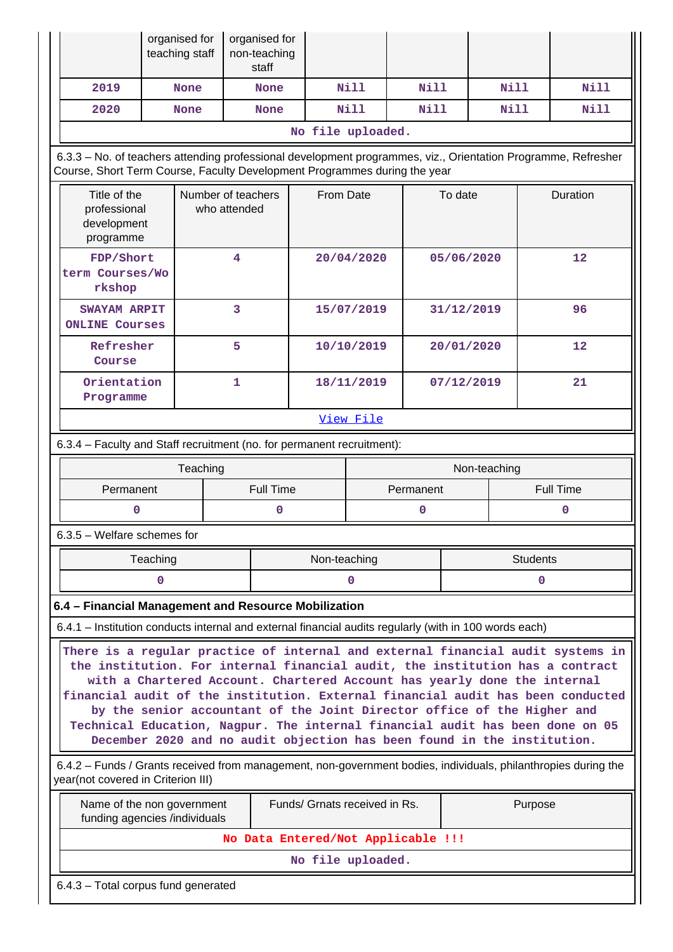|                                                                                                                                                                                                                                                                                                                                                                                                                                                                                                                                                                        | organised for<br>organised for<br>teaching staff<br>non-teaching<br>staff                                                                                                                  |                                                             |             |            |                               |      |                                    |             |             |             |  |
|------------------------------------------------------------------------------------------------------------------------------------------------------------------------------------------------------------------------------------------------------------------------------------------------------------------------------------------------------------------------------------------------------------------------------------------------------------------------------------------------------------------------------------------------------------------------|--------------------------------------------------------------------------------------------------------------------------------------------------------------------------------------------|-------------------------------------------------------------|-------------|------------|-------------------------------|------|------------------------------------|-------------|-------------|-------------|--|
|                                                                                                                                                                                                                                                                                                                                                                                                                                                                                                                                                                        | 2019                                                                                                                                                                                       | <b>None</b>                                                 | <b>None</b> |            | Nill                          | Nill |                                    | <b>Nill</b> |             | <b>Nill</b> |  |
|                                                                                                                                                                                                                                                                                                                                                                                                                                                                                                                                                                        | 2020                                                                                                                                                                                       | <b>None</b>                                                 |             | Nill       | <b>Nill</b>                   |      | Nill                               |             | <b>Nill</b> |             |  |
|                                                                                                                                                                                                                                                                                                                                                                                                                                                                                                                                                                        | No file uploaded.                                                                                                                                                                          |                                                             |             |            |                               |      |                                    |             |             |             |  |
|                                                                                                                                                                                                                                                                                                                                                                                                                                                                                                                                                                        | 6.3.3 - No. of teachers attending professional development programmes, viz., Orientation Programme, Refresher<br>Course, Short Term Course, Faculty Development Programmes during the year |                                                             |             |            |                               |      |                                    |             |             |             |  |
|                                                                                                                                                                                                                                                                                                                                                                                                                                                                                                                                                                        | Number of teachers<br>From Date<br>Title of the<br>To date<br>Duration<br>professional<br>who attended<br>development<br>programme                                                         |                                                             |             |            |                               |      |                                    |             |             |             |  |
|                                                                                                                                                                                                                                                                                                                                                                                                                                                                                                                                                                        | FDP/Short<br>4<br>20/04/2020<br>12<br>05/06/2020<br>term Courses/Wo<br>rkshop                                                                                                              |                                                             |             |            |                               |      |                                    |             |             |             |  |
|                                                                                                                                                                                                                                                                                                                                                                                                                                                                                                                                                                        | 3<br>96<br><b>SWAYAM ARPIT</b><br>15/07/2019<br>31/12/2019<br><b>ONLINE Courses</b>                                                                                                        |                                                             |             |            |                               |      |                                    |             |             |             |  |
|                                                                                                                                                                                                                                                                                                                                                                                                                                                                                                                                                                        | 5<br>Refresher<br>12<br>10/10/2019<br>20/01/2020<br>Course                                                                                                                                 |                                                             |             |            |                               |      |                                    |             |             |             |  |
|                                                                                                                                                                                                                                                                                                                                                                                                                                                                                                                                                                        | Orientation<br>Programme                                                                                                                                                                   |                                                             |             | 18/11/2019 |                               |      | 21<br>07/12/2019                   |             |             |             |  |
|                                                                                                                                                                                                                                                                                                                                                                                                                                                                                                                                                                        | View File                                                                                                                                                                                  |                                                             |             |            |                               |      |                                    |             |             |             |  |
|                                                                                                                                                                                                                                                                                                                                                                                                                                                                                                                                                                        | 6.3.4 - Faculty and Staff recruitment (no. for permanent recruitment):                                                                                                                     |                                                             |             |            |                               |      |                                    |             |             |             |  |
|                                                                                                                                                                                                                                                                                                                                                                                                                                                                                                                                                                        | Teaching<br>Non-teaching                                                                                                                                                                   |                                                             |             |            |                               |      |                                    |             |             |             |  |
|                                                                                                                                                                                                                                                                                                                                                                                                                                                                                                                                                                        | <b>Full Time</b><br><b>Full Time</b><br>Permanent<br>Permanent                                                                                                                             |                                                             |             |            |                               |      |                                    |             |             |             |  |
|                                                                                                                                                                                                                                                                                                                                                                                                                                                                                                                                                                        | 0<br>0<br>$\mathbf 0$<br>0                                                                                                                                                                 |                                                             |             |            |                               |      |                                    |             |             |             |  |
|                                                                                                                                                                                                                                                                                                                                                                                                                                                                                                                                                                        | 6.3.5 - Welfare schemes for                                                                                                                                                                |                                                             |             |            |                               |      |                                    |             |             |             |  |
|                                                                                                                                                                                                                                                                                                                                                                                                                                                                                                                                                                        | <b>Students</b><br>Teaching<br>Non-teaching                                                                                                                                                |                                                             |             |            |                               |      |                                    |             |             |             |  |
|                                                                                                                                                                                                                                                                                                                                                                                                                                                                                                                                                                        | 0<br>$\mathbf 0$<br>0                                                                                                                                                                      |                                                             |             |            |                               |      |                                    |             |             |             |  |
|                                                                                                                                                                                                                                                                                                                                                                                                                                                                                                                                                                        | 6.4 - Financial Management and Resource Mobilization                                                                                                                                       |                                                             |             |            |                               |      |                                    |             |             |             |  |
|                                                                                                                                                                                                                                                                                                                                                                                                                                                                                                                                                                        | 6.4.1 – Institution conducts internal and external financial audits regularly (with in 100 words each)                                                                                     |                                                             |             |            |                               |      |                                    |             |             |             |  |
| There is a regular practice of internal and external financial audit systems in<br>the institution. For internal financial audit, the institution has a contract<br>with a Chartered Account. Chartered Account has yearly done the internal<br>financial audit of the institution. External financial audit has been conducted<br>by the senior accountant of the Joint Director office of the Higher and<br>Technical Education, Nagpur. The internal financial audit has been done on 05<br>December 2020 and no audit objection has been found in the institution. |                                                                                                                                                                                            |                                                             |             |            |                               |      |                                    |             |             |             |  |
|                                                                                                                                                                                                                                                                                                                                                                                                                                                                                                                                                                        | 6.4.2 - Funds / Grants received from management, non-government bodies, individuals, philanthropies during the<br>year(not covered in Criterion III)                                       |                                                             |             |            |                               |      |                                    |             |             |             |  |
|                                                                                                                                                                                                                                                                                                                                                                                                                                                                                                                                                                        |                                                                                                                                                                                            | Name of the non government<br>funding agencies /individuals |             |            | Funds/ Grnats received in Rs. |      |                                    |             |             | Purpose     |  |
|                                                                                                                                                                                                                                                                                                                                                                                                                                                                                                                                                                        |                                                                                                                                                                                            |                                                             |             |            |                               |      | No Data Entered/Not Applicable !!! |             |             |             |  |
|                                                                                                                                                                                                                                                                                                                                                                                                                                                                                                                                                                        |                                                                                                                                                                                            |                                                             |             |            | No file uploaded.             |      |                                    |             |             |             |  |
|                                                                                                                                                                                                                                                                                                                                                                                                                                                                                                                                                                        | 6.4.3 - Total corpus fund generated                                                                                                                                                        |                                                             |             |            |                               |      |                                    |             |             |             |  |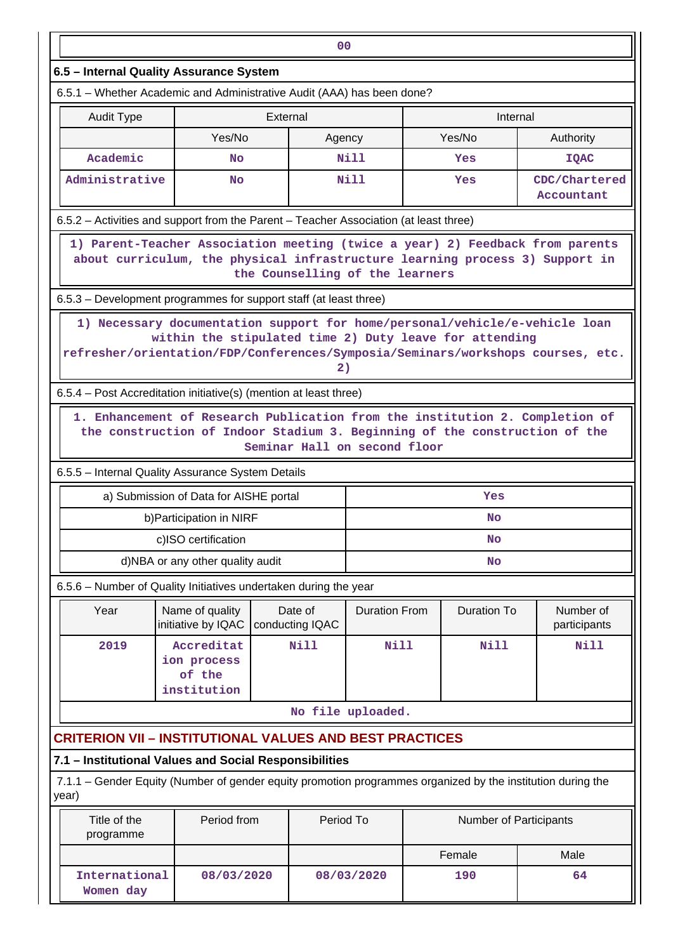| 00                                                                                                                                                                                                                                              |                                                                                                                                                               |          |                                 |                   |  |                               |              |                             |  |  |  |
|-------------------------------------------------------------------------------------------------------------------------------------------------------------------------------------------------------------------------------------------------|---------------------------------------------------------------------------------------------------------------------------------------------------------------|----------|---------------------------------|-------------------|--|-------------------------------|--------------|-----------------------------|--|--|--|
| 6.5 - Internal Quality Assurance System                                                                                                                                                                                                         |                                                                                                                                                               |          |                                 |                   |  |                               |              |                             |  |  |  |
| 6.5.1 - Whether Academic and Administrative Audit (AAA) has been done?                                                                                                                                                                          |                                                                                                                                                               |          |                                 |                   |  |                               |              |                             |  |  |  |
| <b>Audit Type</b>                                                                                                                                                                                                                               |                                                                                                                                                               | External |                                 |                   |  | Internal                      |              |                             |  |  |  |
|                                                                                                                                                                                                                                                 | Yes/No                                                                                                                                                        |          | Agency                          |                   |  | Yes/No                        |              | Authority                   |  |  |  |
| Academic                                                                                                                                                                                                                                        | No                                                                                                                                                            |          |                                 | Nill              |  | Yes                           |              | <b>IQAC</b>                 |  |  |  |
| Administrative                                                                                                                                                                                                                                  | <b>No</b>                                                                                                                                                     |          |                                 | <b>Nill</b>       |  | Yes                           |              | CDC/Chartered<br>Accountant |  |  |  |
| 6.5.2 - Activities and support from the Parent - Teacher Association (at least three)                                                                                                                                                           |                                                                                                                                                               |          |                                 |                   |  |                               |              |                             |  |  |  |
|                                                                                                                                                                                                                                                 | 1) Parent-Teacher Association meeting (twice a year) 2) Feedback from parents<br>about curriculum, the physical infrastructure learning process 3) Support in |          | the Counselling of the learners |                   |  |                               |              |                             |  |  |  |
| 6.5.3 – Development programmes for support staff (at least three)                                                                                                                                                                               |                                                                                                                                                               |          |                                 |                   |  |                               |              |                             |  |  |  |
| 1) Necessary documentation support for home/personal/vehicle/e-vehicle loan<br>within the stipulated time 2) Duty leave for attending<br>refresher/orientation/FDP/Conferences/Symposia/Seminars/workshops courses, etc.<br>2)                  |                                                                                                                                                               |          |                                 |                   |  |                               |              |                             |  |  |  |
| 6.5.4 – Post Accreditation initiative(s) (mention at least three)                                                                                                                                                                               |                                                                                                                                                               |          |                                 |                   |  |                               |              |                             |  |  |  |
| 1. Enhancement of Research Publication from the institution 2. Completion of<br>the construction of Indoor Stadium 3. Beginning of the construction of the<br>Seminar Hall on second floor<br>6.5.5 - Internal Quality Assurance System Details |                                                                                                                                                               |          |                                 |                   |  |                               |              |                             |  |  |  |
| a) Submission of Data for AISHE portal<br>Yes                                                                                                                                                                                                   |                                                                                                                                                               |          |                                 |                   |  |                               |              |                             |  |  |  |
| b) Participation in NIRF<br>No                                                                                                                                                                                                                  |                                                                                                                                                               |          |                                 |                   |  |                               |              |                             |  |  |  |
| c)ISO certification<br>No                                                                                                                                                                                                                       |                                                                                                                                                               |          |                                 |                   |  |                               |              |                             |  |  |  |
| d)NBA or any other quality audit<br><b>No</b>                                                                                                                                                                                                   |                                                                                                                                                               |          |                                 |                   |  |                               |              |                             |  |  |  |
| 6.5.6 - Number of Quality Initiatives undertaken during the year                                                                                                                                                                                |                                                                                                                                                               |          |                                 |                   |  |                               |              |                             |  |  |  |
|                                                                                                                                                                                                                                                 |                                                                                                                                                               |          |                                 |                   |  |                               |              | Number of                   |  |  |  |
| Name of quality<br>Date of<br>Year<br><b>Duration From</b><br><b>Duration To</b><br>initiative by IQAC<br>conducting IQAC                                                                                                                       |                                                                                                                                                               |          |                                 |                   |  |                               | participants |                             |  |  |  |
| 2019                                                                                                                                                                                                                                            | Accreditat<br>ion process<br>of the<br>institution                                                                                                            |          | Nill                            | Nill              |  | <b>Nill</b>                   | <b>Nill</b>  |                             |  |  |  |
|                                                                                                                                                                                                                                                 |                                                                                                                                                               |          |                                 | No file uploaded. |  |                               |              |                             |  |  |  |
| CRITERION VII – INSTITUTIONAL VALUES AND BEST PRACTICES                                                                                                                                                                                         |                                                                                                                                                               |          |                                 |                   |  |                               |              |                             |  |  |  |
| 7.1 - Institutional Values and Social Responsibilities                                                                                                                                                                                          |                                                                                                                                                               |          |                                 |                   |  |                               |              |                             |  |  |  |
| 7.1.1 – Gender Equity (Number of gender equity promotion programmes organized by the institution during the<br>year)                                                                                                                            |                                                                                                                                                               |          |                                 |                   |  |                               |              |                             |  |  |  |
| Title of the<br>programme                                                                                                                                                                                                                       | Period from                                                                                                                                                   |          | Period To                       |                   |  | <b>Number of Participants</b> |              |                             |  |  |  |
|                                                                                                                                                                                                                                                 |                                                                                                                                                               |          |                                 |                   |  | Female                        |              | Male                        |  |  |  |
| International<br>Women day                                                                                                                                                                                                                      | 08/03/2020                                                                                                                                                    |          |                                 | 08/03/2020        |  | 190                           |              | 64                          |  |  |  |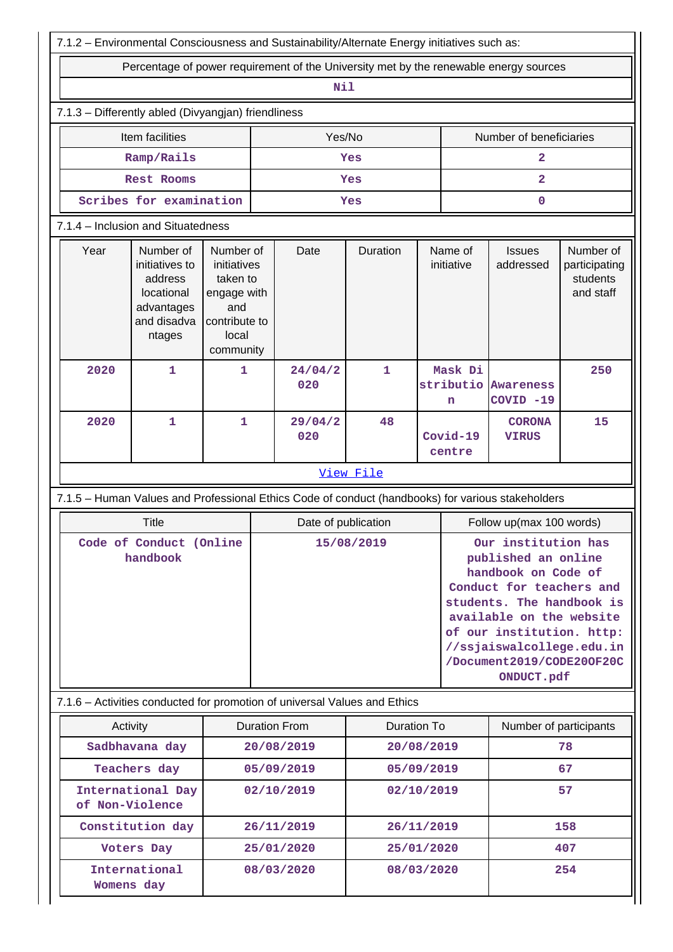| 7.1.2 - Environmental Consciousness and Sustainability/Alternate Energy initiatives such as:                                                                                                             |                             |   |                                                      |                          |                   |                                                                                                                                                                                                                                                             |                         |                                  |                                                     |  |  |  |  |  |  |  |  |  |
|----------------------------------------------------------------------------------------------------------------------------------------------------------------------------------------------------------|-----------------------------|---|------------------------------------------------------|--------------------------|-------------------|-------------------------------------------------------------------------------------------------------------------------------------------------------------------------------------------------------------------------------------------------------------|-------------------------|----------------------------------|-----------------------------------------------------|--|--|--|--|--|--|--|--|--|
| Percentage of power requirement of the University met by the renewable energy sources                                                                                                                    |                             |   |                                                      |                          |                   |                                                                                                                                                                                                                                                             |                         |                                  |                                                     |  |  |  |  |  |  |  |  |  |
| Nil                                                                                                                                                                                                      |                             |   |                                                      |                          |                   |                                                                                                                                                                                                                                                             |                         |                                  |                                                     |  |  |  |  |  |  |  |  |  |
| 7.1.3 - Differently abled (Divyangjan) friendliness                                                                                                                                                      |                             |   |                                                      |                          |                   |                                                                                                                                                                                                                                                             |                         |                                  |                                                     |  |  |  |  |  |  |  |  |  |
|                                                                                                                                                                                                          | Item facilities             |   |                                                      | Yes/No                   |                   |                                                                                                                                                                                                                                                             | Number of beneficiaries |                                  |                                                     |  |  |  |  |  |  |  |  |  |
| Ramp/Rails                                                                                                                                                                                               |                             |   |                                                      |                          | Yes               | $\overline{\mathbf{2}}$                                                                                                                                                                                                                                     |                         |                                  |                                                     |  |  |  |  |  |  |  |  |  |
|                                                                                                                                                                                                          | Rest Rooms                  |   |                                                      |                          | Yes               | $\overline{\mathbf{2}}$                                                                                                                                                                                                                                     |                         |                                  |                                                     |  |  |  |  |  |  |  |  |  |
| Scribes for examination                                                                                                                                                                                  |                             |   |                                                      |                          | Yes               | $\mathbf 0$                                                                                                                                                                                                                                                 |                         |                                  |                                                     |  |  |  |  |  |  |  |  |  |
| 7.1.4 - Inclusion and Situatedness                                                                                                                                                                       |                             |   |                                                      |                          |                   |                                                                                                                                                                                                                                                             |                         |                                  |                                                     |  |  |  |  |  |  |  |  |  |
| Year<br>Number of<br>Number of<br>initiatives to<br>initiatives<br>taken to<br>address<br>locational<br>engage with<br>advantages<br>and<br>and disadva<br>contribute to<br>local<br>ntages<br>community |                             |   |                                                      | Date                     | Duration          |                                                                                                                                                                                                                                                             | Name of<br>initiative   | <b>Issues</b><br>addressed       | Number of<br>participating<br>students<br>and staff |  |  |  |  |  |  |  |  |  |
| 2020                                                                                                                                                                                                     | $\mathbf{1}$                | 1 |                                                      | 24/04/2<br>020           | Mask Di<br>1<br>n |                                                                                                                                                                                                                                                             |                         | stributio Awareness<br>COVID -19 | 250                                                 |  |  |  |  |  |  |  |  |  |
| 2020                                                                                                                                                                                                     | 1                           | 1 |                                                      | 29/04/2<br>020           | 48                | Covid-19<br>centre                                                                                                                                                                                                                                          |                         | <b>CORONA</b><br><b>VIRUS</b>    | 15                                                  |  |  |  |  |  |  |  |  |  |
| View File                                                                                                                                                                                                |                             |   |                                                      |                          |                   |                                                                                                                                                                                                                                                             |                         |                                  |                                                     |  |  |  |  |  |  |  |  |  |
| 7.1.5 - Human Values and Professional Ethics Code of conduct (handbooks) for various stakeholders                                                                                                        |                             |   |                                                      |                          |                   |                                                                                                                                                                                                                                                             |                         |                                  |                                                     |  |  |  |  |  |  |  |  |  |
|                                                                                                                                                                                                          | Title                       |   |                                                      | Date of publication      |                   | Follow up(max 100 words)                                                                                                                                                                                                                                    |                         |                                  |                                                     |  |  |  |  |  |  |  |  |  |
| Code of Conduct (Online<br>handbook                                                                                                                                                                      |                             |   |                                                      |                          | 15/08/2019        | Our institution has<br>published an online<br>handbook on Code of<br>Conduct for teachers and<br>students. The handbook is<br>available on the website<br>of our institution. http:<br>//ssjaiswalcollege.edu.in<br>/Document2019/CODE20OF20C<br>ONDUCT.pdf |                         |                                  |                                                     |  |  |  |  |  |  |  |  |  |
| 7.1.6 - Activities conducted for promotion of universal Values and Ethics                                                                                                                                |                             |   |                                                      |                          |                   |                                                                                                                                                                                                                                                             |                         |                                  |                                                     |  |  |  |  |  |  |  |  |  |
| Activity                                                                                                                                                                                                 |                             |   | <b>Duration From</b><br><b>Duration To</b>           |                          |                   |                                                                                                                                                                                                                                                             | Number of participants  |                                  |                                                     |  |  |  |  |  |  |  |  |  |
|                                                                                                                                                                                                          | Sadbhavana day              |   |                                                      | 20/08/2019<br>20/08/2019 |                   |                                                                                                                                                                                                                                                             | 78                      |                                  |                                                     |  |  |  |  |  |  |  |  |  |
|                                                                                                                                                                                                          | Teachers day                |   |                                                      | 05/09/2019               | 05/09/2019        |                                                                                                                                                                                                                                                             |                         | 67                               |                                                     |  |  |  |  |  |  |  |  |  |
| of Non-Violence                                                                                                                                                                                          | International Day           |   |                                                      | 02/10/2019               |                   | 02/10/2019                                                                                                                                                                                                                                                  |                         |                                  | 57                                                  |  |  |  |  |  |  |  |  |  |
|                                                                                                                                                                                                          | Constitution day            |   |                                                      | 26/11/2019               |                   |                                                                                                                                                                                                                                                             | 158<br>26/11/2019       |                                  |                                                     |  |  |  |  |  |  |  |  |  |
| Womens day                                                                                                                                                                                               | Voters Day<br>International |   | 25/01/2020<br>25/01/2020<br>08/03/2020<br>08/03/2020 |                          |                   | 407<br>254                                                                                                                                                                                                                                                  |                         |                                  |                                                     |  |  |  |  |  |  |  |  |  |
|                                                                                                                                                                                                          |                             |   |                                                      |                          |                   |                                                                                                                                                                                                                                                             |                         |                                  |                                                     |  |  |  |  |  |  |  |  |  |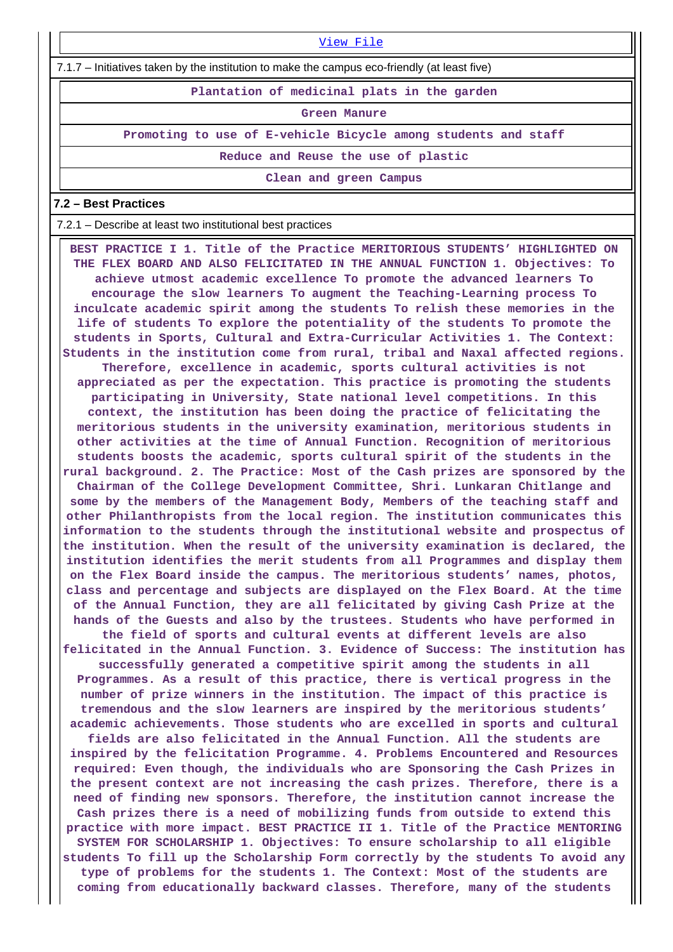[View File](https://assessmentonline.naac.gov.in/public/Postacc/promotion_activities/7102_promotion_activities_1644600873.xlsx)

7.1.7 – Initiatives taken by the institution to make the campus eco-friendly (at least five)

**Plantation of medicinal plats in the garden**

**Green Manure**

**Promoting to use of E-vehicle Bicycle among students and staff**

**Reduce and Reuse the use of plastic**

**Clean and green Campus**

#### **7.2 – Best Practices**

7.2.1 – Describe at least two institutional best practices

 **BEST PRACTICE I 1. Title of the Practice MERITORIOUS STUDENTS' HIGHLIGHTED ON THE FLEX BOARD AND ALSO FELICITATED IN THE ANNUAL FUNCTION 1. Objectives: To achieve utmost academic excellence To promote the advanced learners To encourage the slow learners To augment the Teaching-Learning process To inculcate academic spirit among the students To relish these memories in the life of students To explore the potentiality of the students To promote the students in Sports, Cultural and Extra-Curricular Activities 1. The Context: Students in the institution come from rural, tribal and Naxal affected regions. Therefore, excellence in academic, sports cultural activities is not appreciated as per the expectation. This practice is promoting the students participating in University, State national level competitions. In this context, the institution has been doing the practice of felicitating the meritorious students in the university examination, meritorious students in other activities at the time of Annual Function. Recognition of meritorious students boosts the academic, sports cultural spirit of the students in the rural background. 2. The Practice: Most of the Cash prizes are sponsored by the Chairman of the College Development Committee, Shri. Lunkaran Chitlange and some by the members of the Management Body, Members of the teaching staff and other Philanthropists from the local region. The institution communicates this information to the students through the institutional website and prospectus of the institution. When the result of the university examination is declared, the institution identifies the merit students from all Programmes and display them on the Flex Board inside the campus. The meritorious students' names, photos, class and percentage and subjects are displayed on the Flex Board. At the time of the Annual Function, they are all felicitated by giving Cash Prize at the hands of the Guests and also by the trustees. Students who have performed in the field of sports and cultural events at different levels are also felicitated in the Annual Function. 3. Evidence of Success: The institution has successfully generated a competitive spirit among the students in all Programmes. As a result of this practice, there is vertical progress in the number of prize winners in the institution. The impact of this practice is tremendous and the slow learners are inspired by the meritorious students' academic achievements. Those students who are excelled in sports and cultural fields are also felicitated in the Annual Function. All the students are inspired by the felicitation Programme. 4. Problems Encountered and Resources required: Even though, the individuals who are Sponsoring the Cash Prizes in the present context are not increasing the cash prizes. Therefore, there is a need of finding new sponsors. Therefore, the institution cannot increase the Cash prizes there is a need of mobilizing funds from outside to extend this practice with more impact. BEST PRACTICE II 1. Title of the Practice MENTORING SYSTEM FOR SCHOLARSHIP 1. Objectives: To ensure scholarship to all eligible students To fill up the Scholarship Form correctly by the students To avoid any type of problems for the students 1. The Context: Most of the students are coming from educationally backward classes. Therefore, many of the students**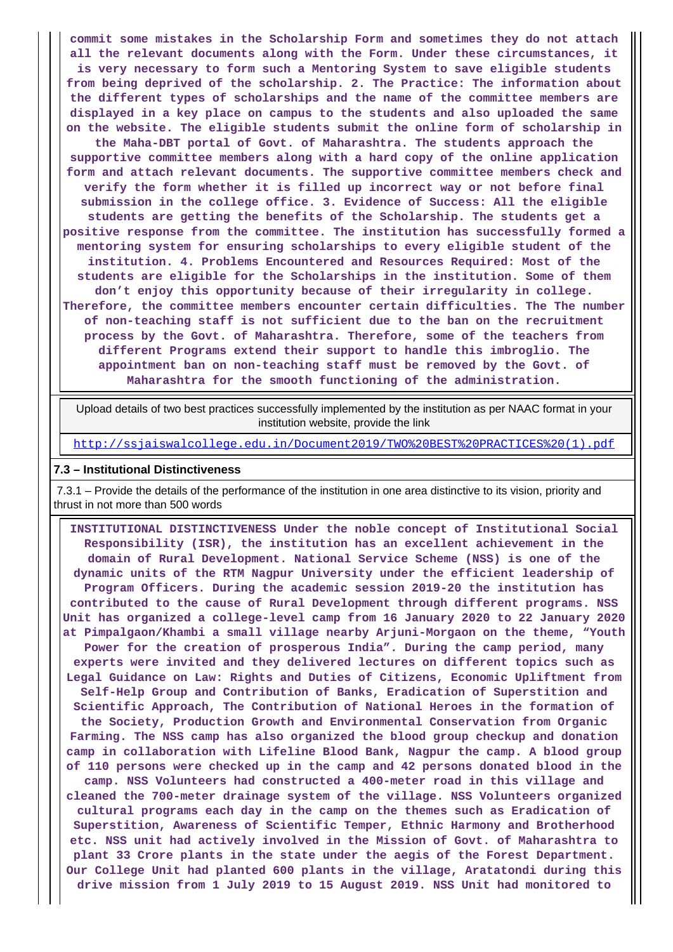**commit some mistakes in the Scholarship Form and sometimes they do not attach all the relevant documents along with the Form. Under these circumstances, it is very necessary to form such a Mentoring System to save eligible students from being deprived of the scholarship. 2. The Practice: The information about the different types of scholarships and the name of the committee members are displayed in a key place on campus to the students and also uploaded the same on the website. The eligible students submit the online form of scholarship in the Maha-DBT portal of Govt. of Maharashtra. The students approach the supportive committee members along with a hard copy of the online application form and attach relevant documents. The supportive committee members check and verify the form whether it is filled up incorrect way or not before final submission in the college office. 3. Evidence of Success: All the eligible students are getting the benefits of the Scholarship. The students get a positive response from the committee. The institution has successfully formed a mentoring system for ensuring scholarships to every eligible student of the institution. 4. Problems Encountered and Resources Required: Most of the students are eligible for the Scholarships in the institution. Some of them don't enjoy this opportunity because of their irregularity in college. Therefore, the committee members encounter certain difficulties. The The number of non-teaching staff is not sufficient due to the ban on the recruitment process by the Govt. of Maharashtra. Therefore, some of the teachers from different Programs extend their support to handle this imbroglio. The appointment ban on non-teaching staff must be removed by the Govt. of Maharashtra for the smooth functioning of the administration.**

 Upload details of two best practices successfully implemented by the institution as per NAAC format in your institution website, provide the link

[http://ssjaiswalcollege.edu.in/Document2019/TWO%20BEST%20PRACTICES%20\(1\).pdf](http://ssjaiswalcollege.edu.in/Document2019/TWO%20BEST%20PRACTICES%20(1).pdf)

#### **7.3 – Institutional Distinctiveness**

 7.3.1 – Provide the details of the performance of the institution in one area distinctive to its vision, priority and thrust in not more than 500 words

 **INSTITUTIONAL DISTINCTIVENESS Under the noble concept of Institutional Social Responsibility (ISR), the institution has an excellent achievement in the domain of Rural Development. National Service Scheme (NSS) is one of the dynamic units of the RTM Nagpur University under the efficient leadership of Program Officers. During the academic session 2019-20 the institution has contributed to the cause of Rural Development through different programs. NSS Unit has organized a college-level camp from 16 January 2020 to 22 January 2020 at Pimpalgaon/Khambi a small village nearby Arjuni-Morgaon on the theme, "Youth Power for the creation of prosperous India". During the camp period, many experts were invited and they delivered lectures on different topics such as Legal Guidance on Law: Rights and Duties of Citizens, Economic Upliftment from Self-Help Group and Contribution of Banks, Eradication of Superstition and Scientific Approach, The Contribution of National Heroes in the formation of the Society, Production Growth and Environmental Conservation from Organic Farming. The NSS camp has also organized the blood group checkup and donation camp in collaboration with Lifeline Blood Bank, Nagpur the camp. A blood group of 110 persons were checked up in the camp and 42 persons donated blood in the camp. NSS Volunteers had constructed a 400-meter road in this village and cleaned the 700-meter drainage system of the village. NSS Volunteers organized cultural programs each day in the camp on the themes such as Eradication of Superstition, Awareness of Scientific Temper, Ethnic Harmony and Brotherhood etc. NSS unit had actively involved in the Mission of Govt. of Maharashtra to plant 33 Crore plants in the state under the aegis of the Forest Department. Our College Unit had planted 600 plants in the village, Aratatondi during this drive mission from 1 July 2019 to 15 August 2019. NSS Unit had monitored to**